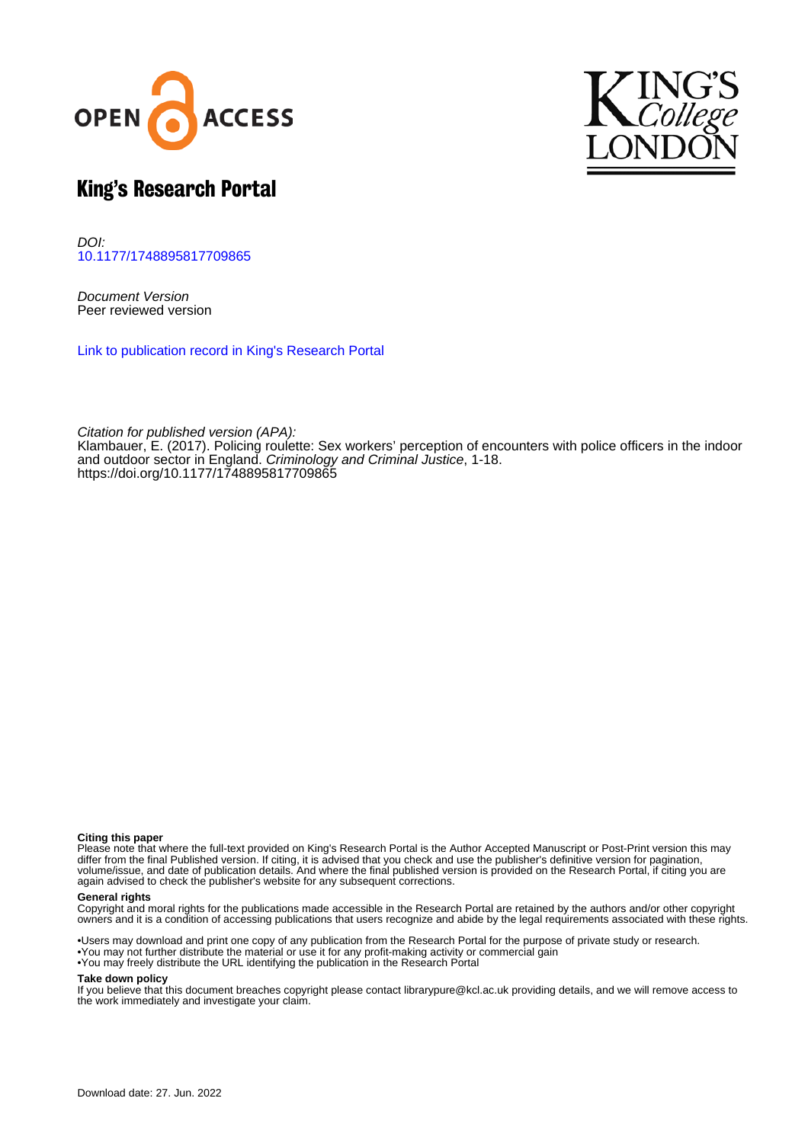



# King's Research Portal

DOI: [10.1177/1748895817709865](https://doi.org/10.1177/1748895817709865)

Document Version Peer reviewed version

[Link to publication record in King's Research Portal](https://kclpure.kcl.ac.uk/portal/en/publications/policing-roulette(50ae55db-b4ab-424f-8c3d-94a4dd8f3194).html)

Citation for published version (APA): [Klambauer, E.](https://kclpure.kcl.ac.uk/portal/en/persons/eva-klambauer(c861bf2f-0749-44b8-8a5d-0b25d9450171).html) (2017). [Policing roulette: Sex workers' perception of encounters with police officers in the indoor](https://kclpure.kcl.ac.uk/portal/en/publications/policing-roulette(50ae55db-b4ab-424f-8c3d-94a4dd8f3194).html) [and outdoor sector in England](https://kclpure.kcl.ac.uk/portal/en/publications/policing-roulette(50ae55db-b4ab-424f-8c3d-94a4dd8f3194).html). [Criminology and Criminal Justice](https://kclpure.kcl.ac.uk/portal/en/journals/criminology-and-criminal-justice(4157d6f8-5a79-429e-83bd-61334c591614).html), 1-18. <https://doi.org/10.1177/1748895817709865>

#### **Citing this paper**

Please note that where the full-text provided on King's Research Portal is the Author Accepted Manuscript or Post-Print version this may differ from the final Published version. If citing, it is advised that you check and use the publisher's definitive version for pagination, volume/issue, and date of publication details. And where the final published version is provided on the Research Portal, if citing you are again advised to check the publisher's website for any subsequent corrections.

#### **General rights**

Copyright and moral rights for the publications made accessible in the Research Portal are retained by the authors and/or other copyright owners and it is a condition of accessing publications that users recognize and abide by the legal requirements associated with these rights.

•Users may download and print one copy of any publication from the Research Portal for the purpose of private study or research. •You may not further distribute the material or use it for any profit-making activity or commercial gain •You may freely distribute the URL identifying the publication in the Research Portal

#### **Take down policy**

If you believe that this document breaches copyright please contact librarypure@kcl.ac.uk providing details, and we will remove access to the work immediately and investigate your claim.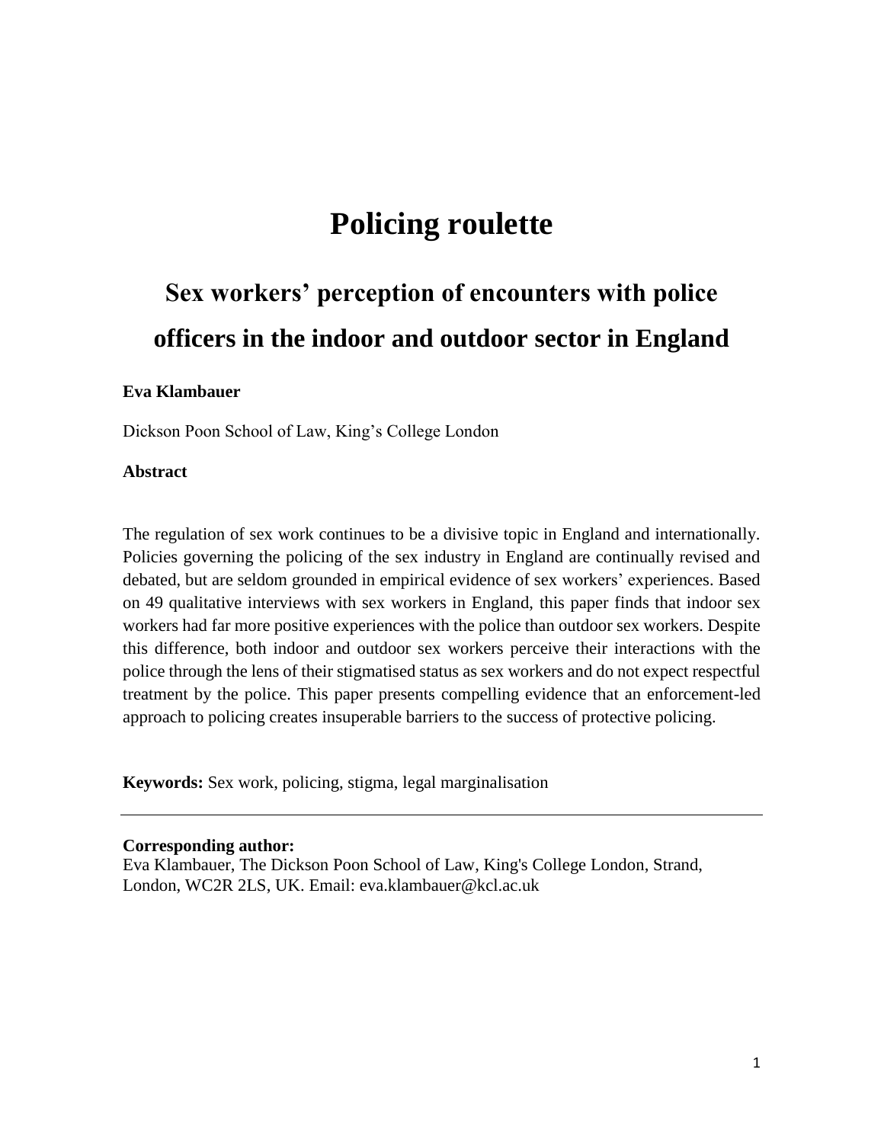# **Policing roulette**

# **Sex workers' perception of encounters with police officers in the indoor and outdoor sector in England**

#### **Eva Klambauer**

Dickson Poon School of Law, King's College London

## **Abstract**

The regulation of sex work continues to be a divisive topic in England and internationally. Policies governing the policing of the sex industry in England are continually revised and debated, but are seldom grounded in empirical evidence of sex workers' experiences. Based on 49 qualitative interviews with sex workers in England, this paper finds that indoor sex workers had far more positive experiences with the police than outdoor sex workers. Despite this difference, both indoor and outdoor sex workers perceive their interactions with the police through the lens of their stigmatised status as sex workers and do not expect respectful treatment by the police. This paper presents compelling evidence that an enforcement-led approach to policing creates insuperable barriers to the success of protective policing.

**Keywords:** Sex work, policing, stigma, legal marginalisation

#### **Corresponding author:**

Eva Klambauer, The Dickson Poon School of Law, King's College London, Strand, London, WC2R 2LS, UK. Email: eva.klambauer@kcl.ac.uk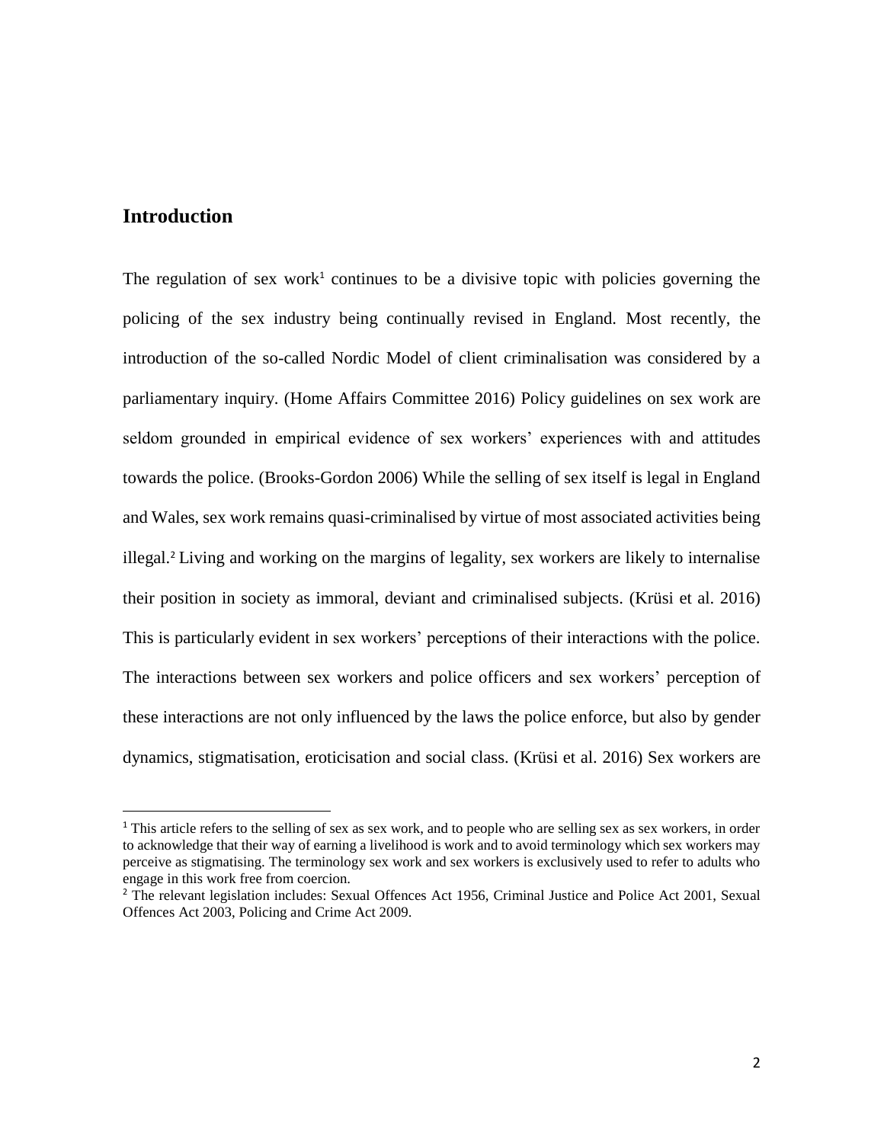# **Introduction**

 $\overline{a}$ 

The regulation of sex work<sup>1</sup> continues to be a divisive topic with policies governing the policing of the sex industry being continually revised in England. Most recently, the introduction of the so-called Nordic Model of client criminalisation was considered by a parliamentary inquiry. (Home Affairs Committee 2016) Policy guidelines on sex work are seldom grounded in empirical evidence of sex workers' experiences with and attitudes towards the police. (Brooks-Gordon 2006) While the selling of sex itself is legal in England and Wales, sex work remains quasi-criminalised by virtue of most associated activities being illegal.<sup>2</sup> Living and working on the margins of legality, sex workers are likely to internalise their position in society as immoral, deviant and criminalised subjects. (Krüsi et al. 2016) This is particularly evident in sex workers' perceptions of their interactions with the police. The interactions between sex workers and police officers and sex workers' perception of these interactions are not only influenced by the laws the police enforce, but also by gender dynamics, stigmatisation, eroticisation and social class. (Krüsi et al. 2016) Sex workers are

<sup>&</sup>lt;sup>1</sup> This article refers to the selling of sex as sex work, and to people who are selling sex as sex workers, in order to acknowledge that their way of earning a livelihood is work and to avoid terminology which sex workers may perceive as stigmatising. The terminology sex work and sex workers is exclusively used to refer to adults who engage in this work free from coercion.

<sup>&</sup>lt;sup>2</sup> The relevant legislation includes: Sexual Offences Act 1956, Criminal Justice and Police Act 2001, Sexual Offences Act 2003, Policing and Crime Act 2009.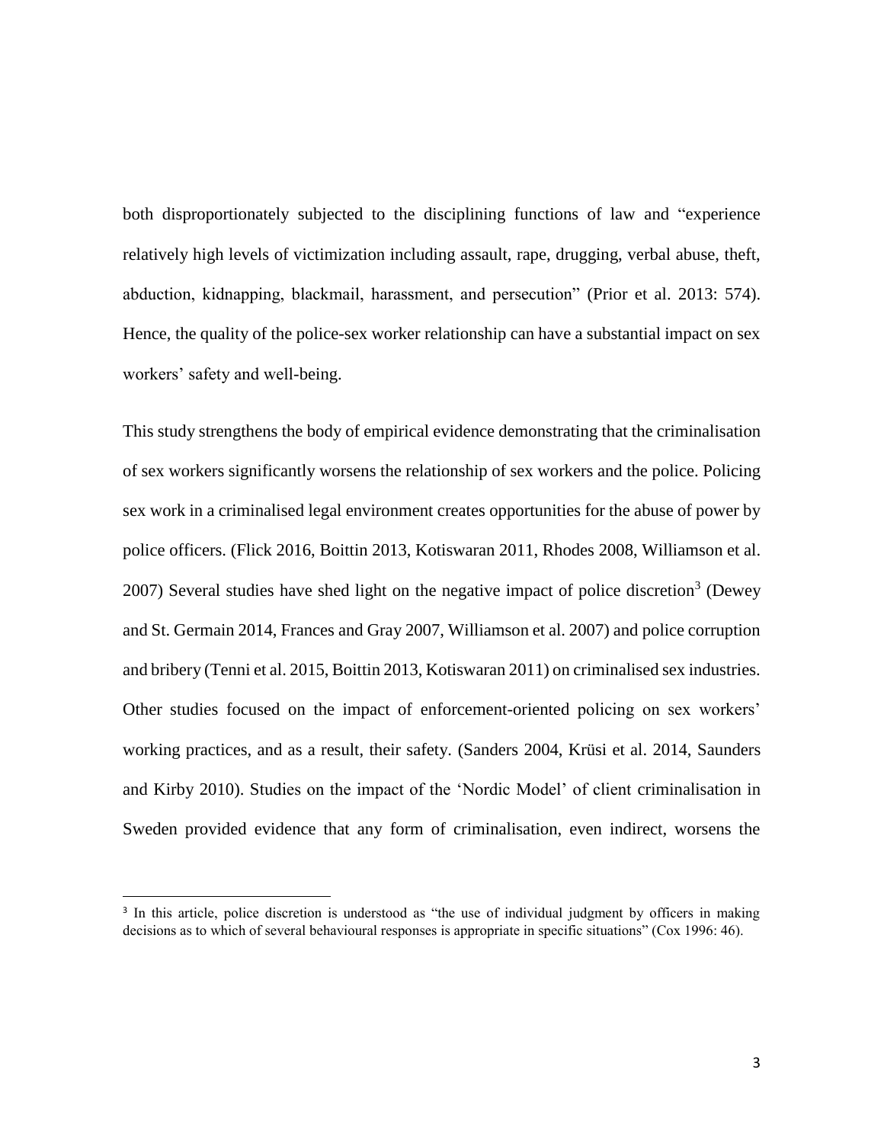both disproportionately subjected to the disciplining functions of law and "experience relatively high levels of victimization including assault, rape, drugging, verbal abuse, theft, abduction, kidnapping, blackmail, harassment, and persecution" (Prior et al. 2013: 574). Hence, the quality of the police-sex worker relationship can have a substantial impact on sex workers' safety and well-being.

This study strengthens the body of empirical evidence demonstrating that the criminalisation of sex workers significantly worsens the relationship of sex workers and the police. Policing sex work in a criminalised legal environment creates opportunities for the abuse of power by police officers. (Flick 2016, Boittin 2013, Kotiswaran 2011, Rhodes 2008, Williamson et al. 2007) Several studies have shed light on the negative impact of police discretion<sup>3</sup> (Dewey and St. Germain 2014, Frances and Gray 2007, Williamson et al. 2007) and police corruption and bribery (Tenni et al. 2015, Boittin 2013, Kotiswaran 2011) on criminalised sex industries. Other studies focused on the impact of enforcement-oriented policing on sex workers' working practices, and as a result, their safety. (Sanders 2004, Krüsi et al. 2014, Saunders and Kirby 2010). Studies on the impact of the 'Nordic Model' of client criminalisation in Sweden provided evidence that any form of criminalisation, even indirect, worsens the

 $\overline{a}$ 

<sup>&</sup>lt;sup>3</sup> In this article, police discretion is understood as "the use of individual judgment by officers in making decisions as to which of several behavioural responses is appropriate in specific situations" (Cox 1996: 46).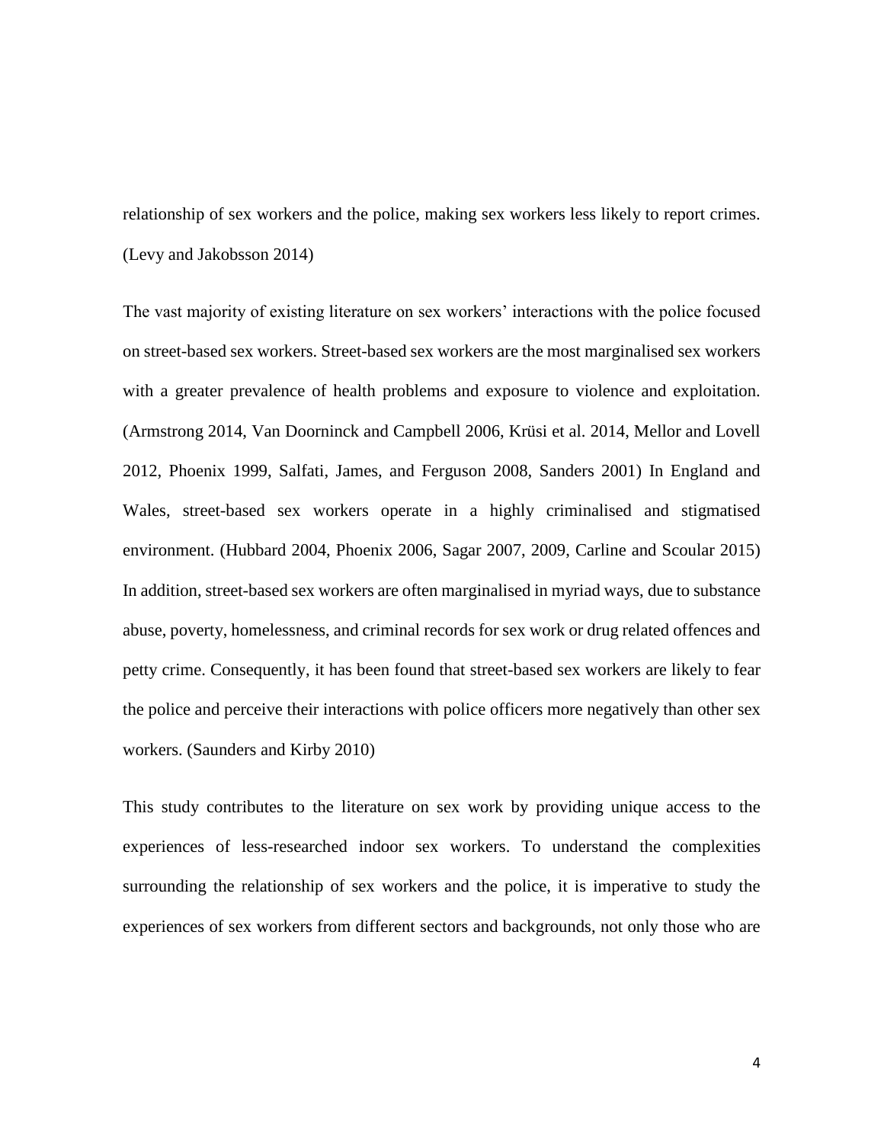relationship of sex workers and the police, making sex workers less likely to report crimes. (Levy and Jakobsson 2014)

The vast majority of existing literature on sex workers' interactions with the police focused on street-based sex workers. Street-based sex workers are the most marginalised sex workers with a greater prevalence of health problems and exposure to violence and exploitation. (Armstrong 2014, Van Doorninck and Campbell 2006, Krüsi et al. 2014, Mellor and Lovell 2012, Phoenix 1999, Salfati, James, and Ferguson 2008, Sanders 2001) In England and Wales, street-based sex workers operate in a highly criminalised and stigmatised environment. (Hubbard 2004, Phoenix 2006, Sagar 2007, 2009, Carline and Scoular 2015) In addition, street-based sex workers are often marginalised in myriad ways, due to substance abuse, poverty, homelessness, and criminal records for sex work or drug related offences and petty crime. Consequently, it has been found that street-based sex workers are likely to fear the police and perceive their interactions with police officers more negatively than other sex workers. (Saunders and Kirby 2010)

This study contributes to the literature on sex work by providing unique access to the experiences of less-researched indoor sex workers. To understand the complexities surrounding the relationship of sex workers and the police, it is imperative to study the experiences of sex workers from different sectors and backgrounds, not only those who are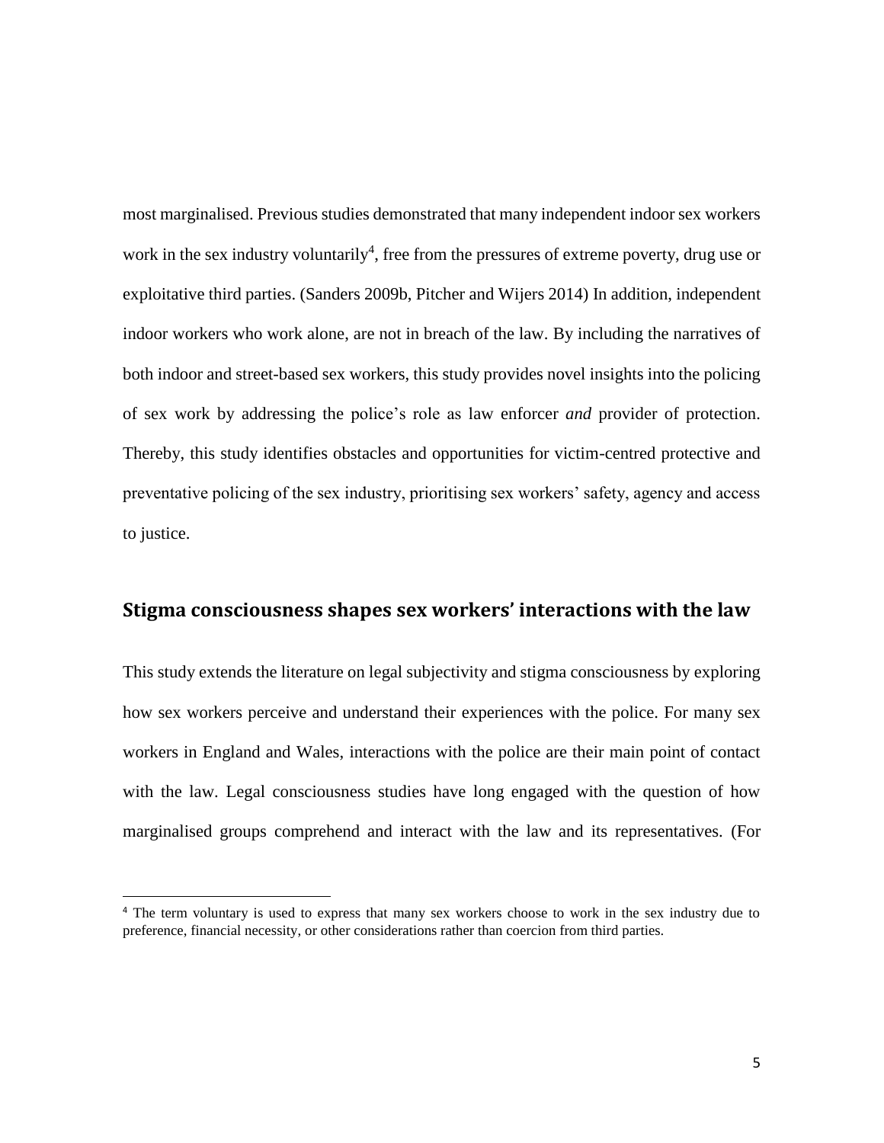most marginalised. Previous studies demonstrated that many independent indoor sex workers work in the sex industry voluntarily<sup>4</sup>, free from the pressures of extreme poverty, drug use or exploitative third parties. (Sanders 2009b, Pitcher and Wijers 2014) In addition, independent indoor workers who work alone, are not in breach of the law. By including the narratives of both indoor and street-based sex workers, this study provides novel insights into the policing of sex work by addressing the police's role as law enforcer *and* provider of protection. Thereby, this study identifies obstacles and opportunities for victim-centred protective and preventative policing of the sex industry, prioritising sex workers' safety, agency and access to justice.

# **Stigma consciousness shapes sex workers' interactions with the law**

This study extends the literature on legal subjectivity and stigma consciousness by exploring how sex workers perceive and understand their experiences with the police. For many sex workers in England and Wales, interactions with the police are their main point of contact with the law. Legal consciousness studies have long engaged with the question of how marginalised groups comprehend and interact with the law and its representatives. (For

 $\overline{a}$ 

<sup>4</sup> The term voluntary is used to express that many sex workers choose to work in the sex industry due to preference, financial necessity, or other considerations rather than coercion from third parties.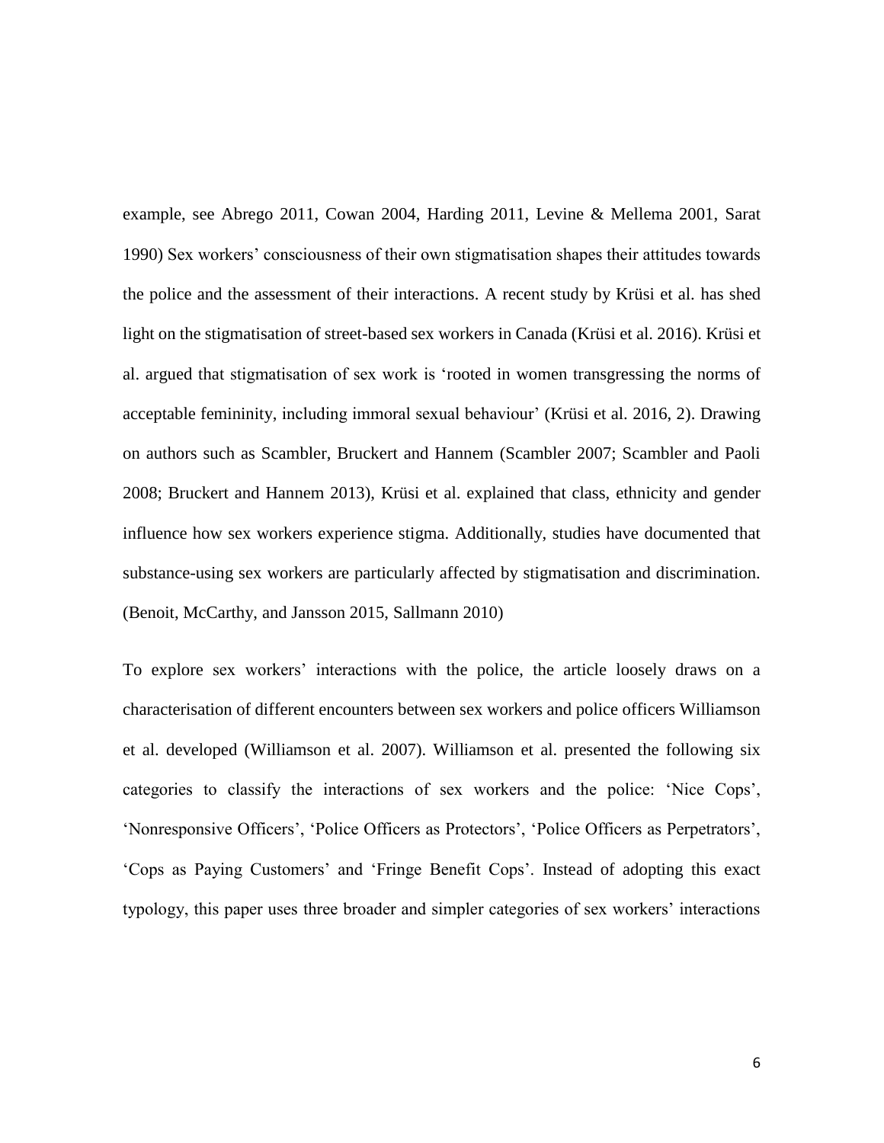example, see Abrego 2011, Cowan 2004, Harding 2011, Levine & Mellema 2001, Sarat 1990) Sex workers' consciousness of their own stigmatisation shapes their attitudes towards the police and the assessment of their interactions. A recent study by Krüsi et al. has shed light on the stigmatisation of street-based sex workers in Canada (Krüsi et al. 2016). Krüsi et al. argued that stigmatisation of sex work is 'rooted in women transgressing the norms of acceptable femininity, including immoral sexual behaviour' (Krüsi et al. 2016, 2). Drawing on authors such as Scambler, Bruckert and Hannem (Scambler 2007; Scambler and Paoli 2008; Bruckert and Hannem 2013), Krüsi et al. explained that class, ethnicity and gender influence how sex workers experience stigma. Additionally, studies have documented that substance-using sex workers are particularly affected by stigmatisation and discrimination. (Benoit, McCarthy, and Jansson 2015, Sallmann 2010)

To explore sex workers' interactions with the police, the article loosely draws on a characterisation of different encounters between sex workers and police officers Williamson et al. developed (Williamson et al. 2007). Williamson et al. presented the following six categories to classify the interactions of sex workers and the police: 'Nice Cops', 'Nonresponsive Officers', 'Police Officers as Protectors', 'Police Officers as Perpetrators', 'Cops as Paying Customers' and 'Fringe Benefit Cops'. Instead of adopting this exact typology, this paper uses three broader and simpler categories of sex workers' interactions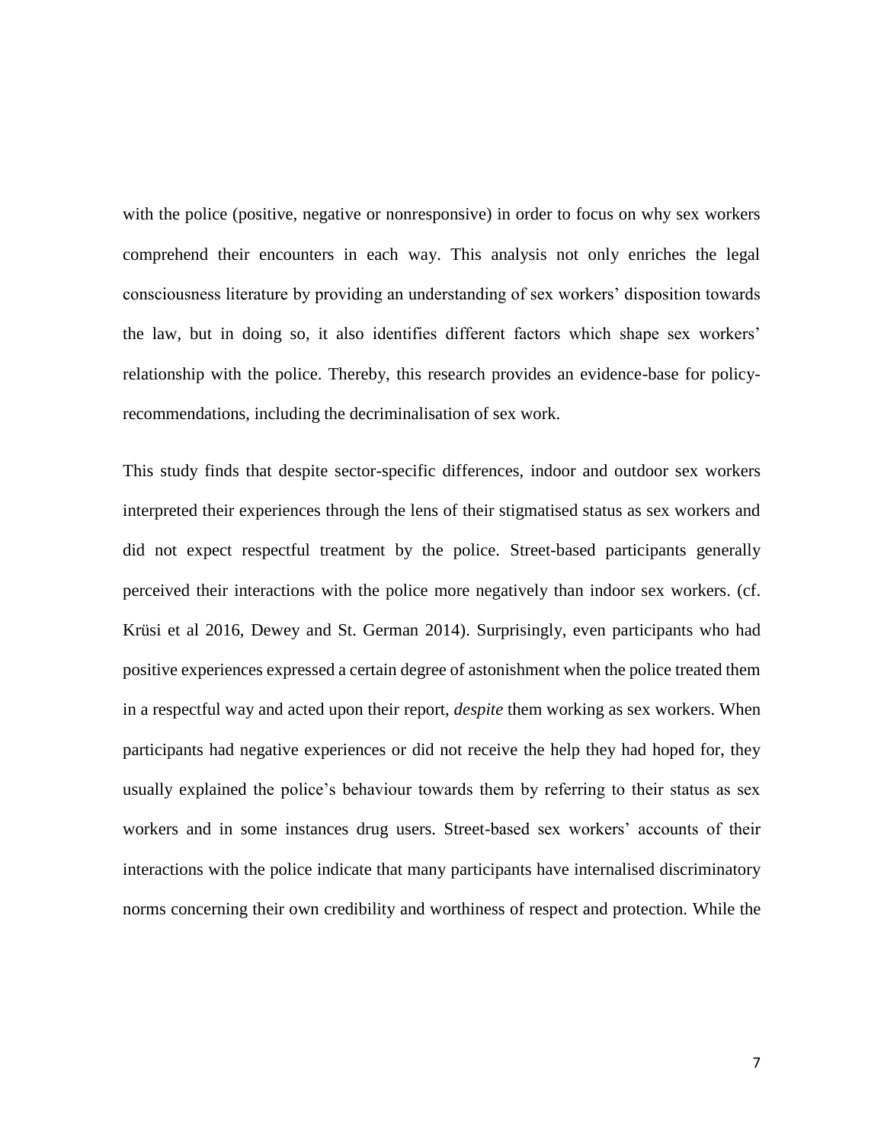with the police (positive, negative or nonresponsive) in order to focus on why sex workers comprehend their encounters in each way. This analysis not only enriches the legal consciousness literature by providing an understanding of sex workers' disposition towards the law, but in doing so, it also identifies different factors which shape sex workers' relationship with the police. Thereby, this research provides an evidence-base for policyrecommendations, including the decriminalisation of sex work.

This study finds that despite sector-specific differences, indoor and outdoor sex workers interpreted their experiences through the lens of their stigmatised status as sex workers and did not expect respectful treatment by the police. Street-based participants generally perceived their interactions with the police more negatively than indoor sex workers. (cf. Krüsi et al 2016, Dewey and St. German 2014). Surprisingly, even participants who had positive experiences expressed a certain degree of astonishment when the police treated them in a respectful way and acted upon their report, *despite* them working as sex workers. When participants had negative experiences or did not receive the help they had hoped for, they usually explained the police's behaviour towards them by referring to their status as sex workers and in some instances drug users. Street-based sex workers' accounts of their interactions with the police indicate that many participants have internalised discriminatory norms concerning their own credibility and worthiness of respect and protection. While the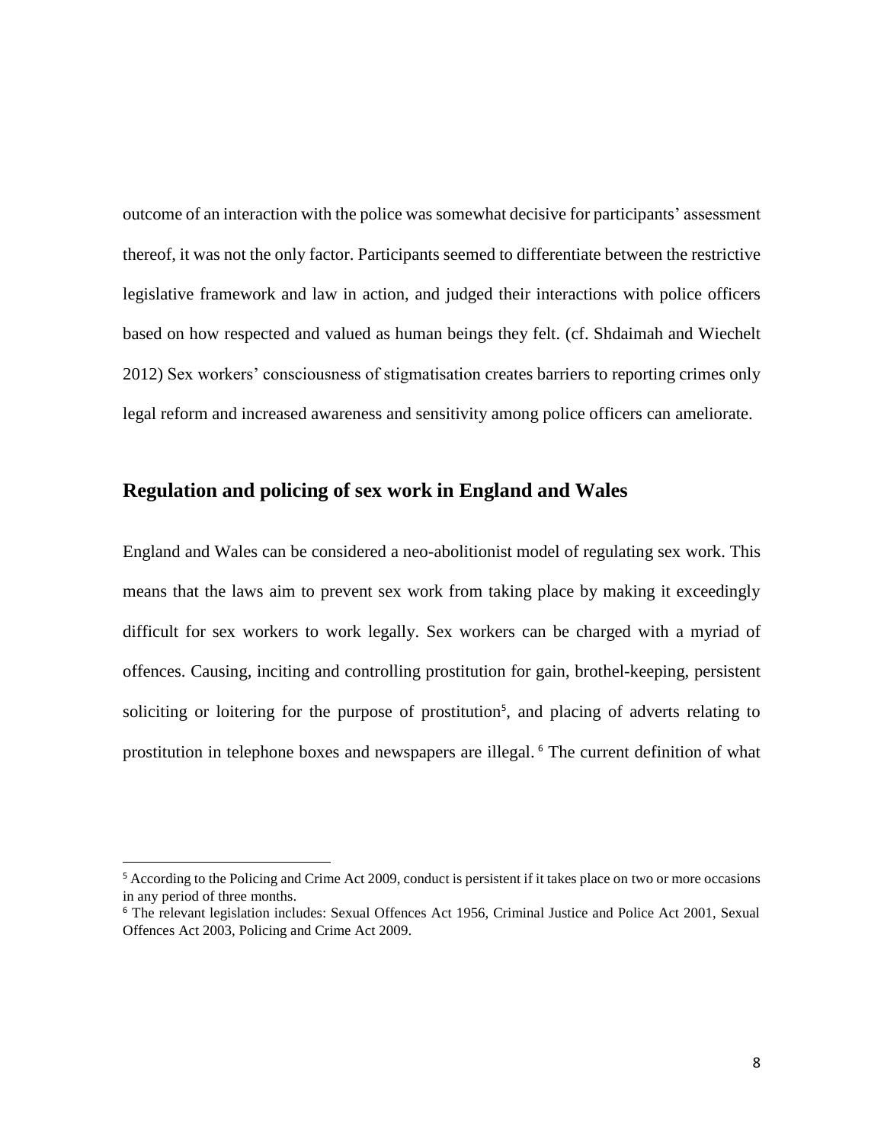outcome of an interaction with the police was somewhat decisive for participants' assessment thereof, it was not the only factor. Participants seemed to differentiate between the restrictive legislative framework and law in action, and judged their interactions with police officers based on how respected and valued as human beings they felt. (cf. Shdaimah and Wiechelt 2012) Sex workers' consciousness of stigmatisation creates barriers to reporting crimes only legal reform and increased awareness and sensitivity among police officers can ameliorate.

## **Regulation and policing of sex work in England and Wales**

England and Wales can be considered a neo-abolitionist model of regulating sex work. This means that the laws aim to prevent sex work from taking place by making it exceedingly difficult for sex workers to work legally. Sex workers can be charged with a myriad of offences. Causing, inciting and controlling prostitution for gain, brothel-keeping, persistent soliciting or loitering for the purpose of prostitution<sup>5</sup>, and placing of adverts relating to prostitution in telephone boxes and newspapers are illegal. <sup>6</sup> The current definition of what

 $\overline{a}$ 

<sup>&</sup>lt;sup>5</sup> According to the Policing and Crime Act 2009, conduct is persistent if it takes place on two or more occasions in any period of three months.

<sup>6</sup> The relevant legislation includes: Sexual Offences Act 1956, Criminal Justice and Police Act 2001, Sexual Offences Act 2003, Policing and Crime Act 2009.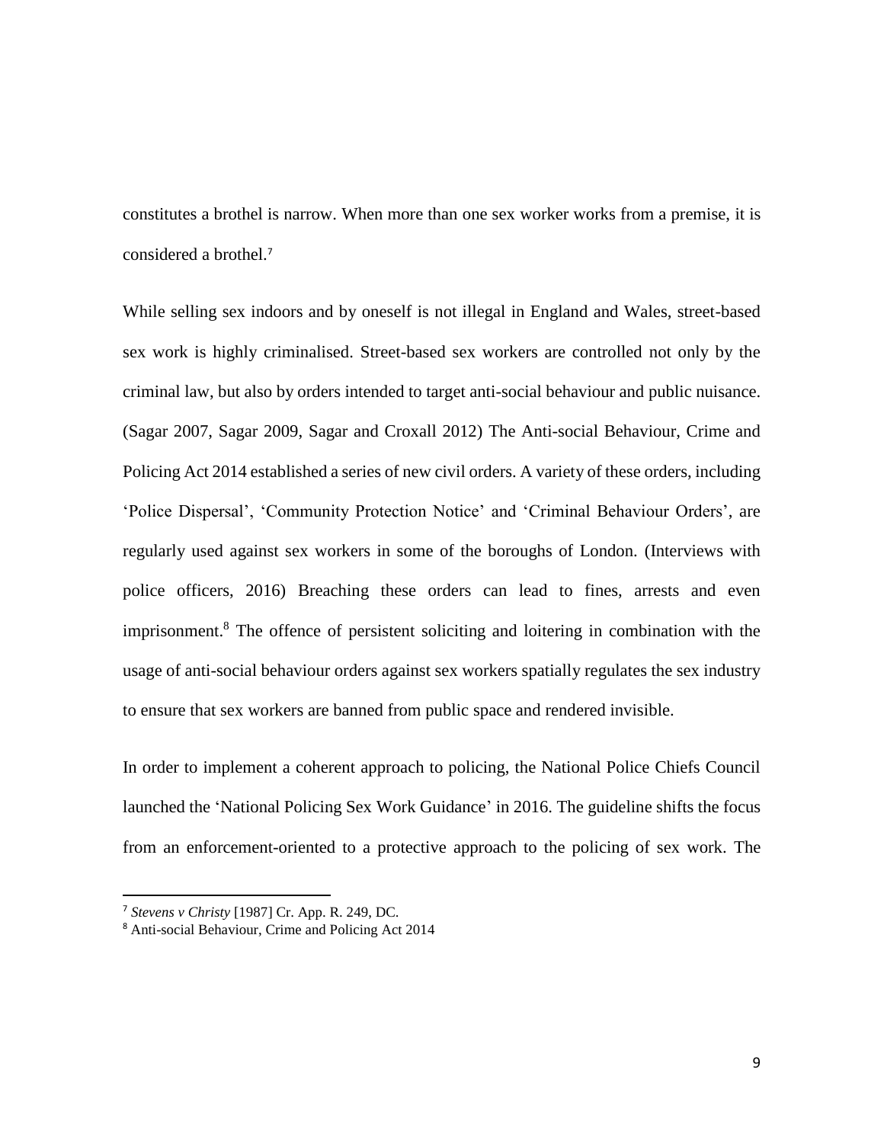constitutes a brothel is narrow. When more than one sex worker works from a premise, it is considered a brothel.<sup>7</sup>

While selling sex indoors and by oneself is not illegal in England and Wales, street-based sex work is highly criminalised. Street-based sex workers are controlled not only by the criminal law, but also by orders intended to target anti-social behaviour and public nuisance. (Sagar 2007, Sagar 2009, Sagar and Croxall 2012) The [Anti-social Behaviour, Crime and](http://www.legislation.gov.uk/ukpga/2014/12/contents/enacted/data.htm)  [Policing Act 2014](http://www.legislation.gov.uk/ukpga/2014/12/contents/enacted/data.htm) established a series of new civil orders. A variety of these orders, including 'Police Dispersal', 'Community Protection Notice' and 'Criminal Behaviour Orders', are regularly used against sex workers in some of the boroughs of London. (Interviews with police officers, 2016) Breaching these orders can lead to fines, arrests and even imprisonment.<sup>8</sup> The offence of persistent soliciting and loitering in combination with the usage of anti-social behaviour orders against sex workers spatially regulates the sex industry to ensure that sex workers are banned from public space and rendered invisible.

In order to implement a coherent approach to policing, the National Police Chiefs Council launched the 'National Policing Sex Work Guidance' in 2016. The guideline shifts the focus from an enforcement-oriented to a protective approach to the policing of sex work. The

 $\overline{a}$ 

<sup>7</sup> *Stevens v Christy* [1987] Cr. App. R. 249, DC.

<sup>8</sup> [Anti-social Behaviour, Crime and Policing Act 2014](http://www.legislation.gov.uk/ukpga/2014/12/contents/enacted/data.htm)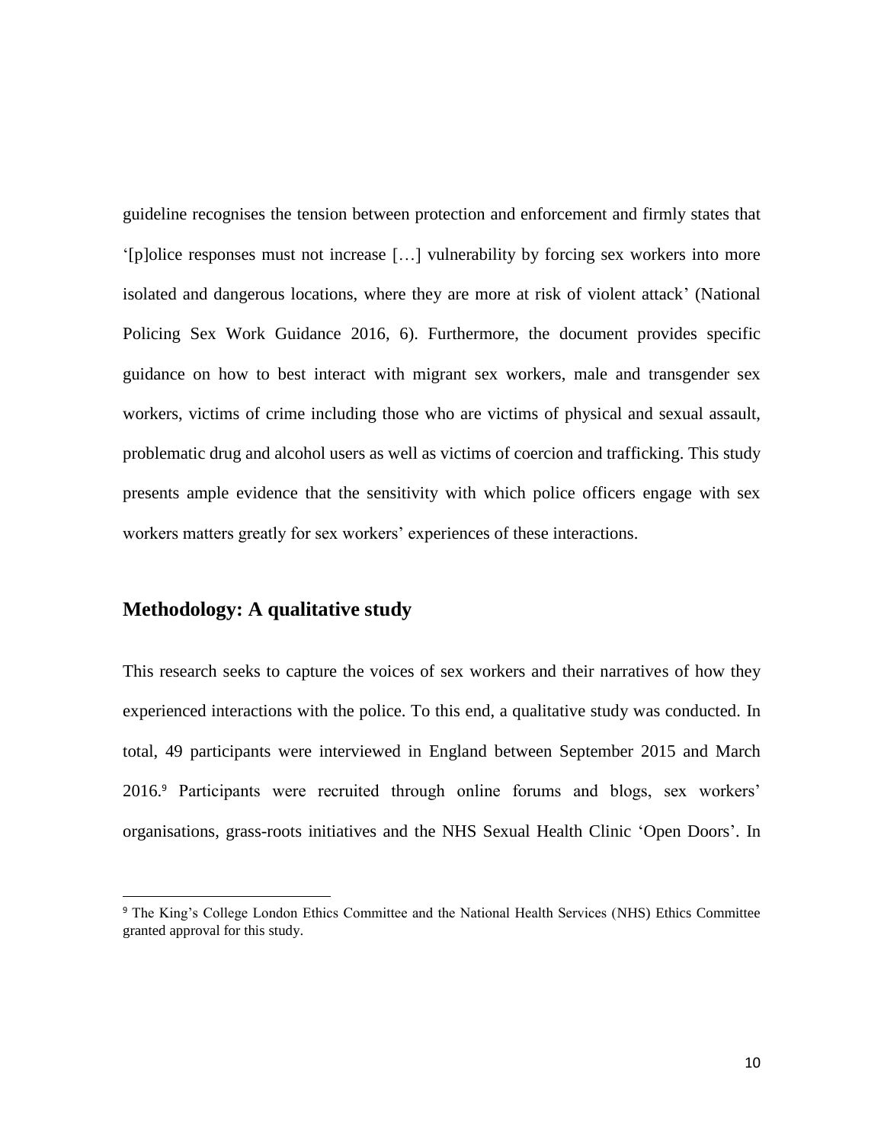guideline recognises the tension between protection and enforcement and firmly states that '[p]olice responses must not increase […] vulnerability by forcing sex workers into more isolated and dangerous locations, where they are more at risk of violent attack' (National Policing Sex Work Guidance 2016, 6). Furthermore, the document provides specific guidance on how to best interact with migrant sex workers, male and transgender sex workers, victims of crime including those who are victims of physical and sexual assault, problematic drug and alcohol users as well as victims of coercion and trafficking. This study presents ample evidence that the sensitivity with which police officers engage with sex workers matters greatly for sex workers' experiences of these interactions.

# **Methodology: A qualitative study**

 $\ddot{\phantom{a}}$ 

This research seeks to capture the voices of sex workers and their narratives of how they experienced interactions with the police. To this end, a qualitative study was conducted. In total, 49 participants were interviewed in England between September 2015 and March 2016. <sup>9</sup> Participants were recruited through online forums and blogs, sex workers' organisations, grass-roots initiatives and the NHS Sexual Health Clinic 'Open Doors'. In

<sup>&</sup>lt;sup>9</sup> The King's College London Ethics Committee and the National Health Services (NHS) Ethics Committee granted approval for this study.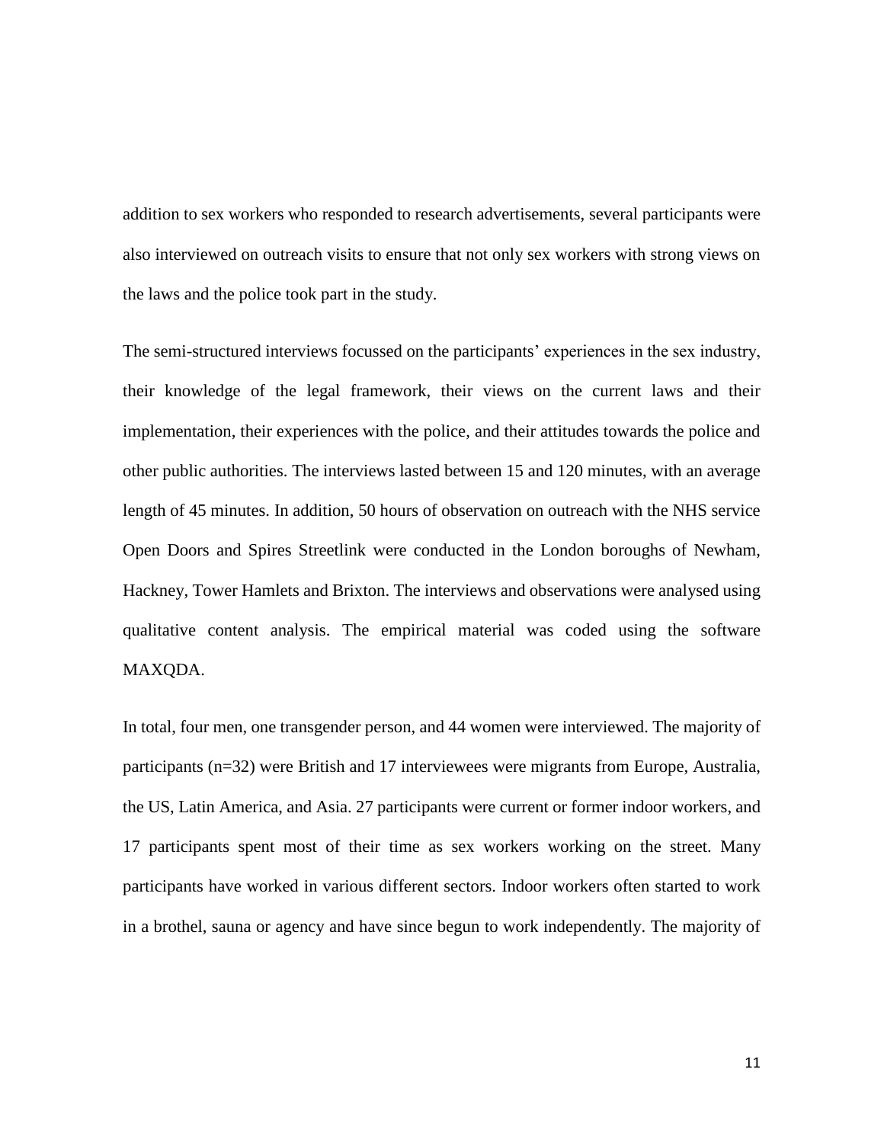addition to sex workers who responded to research advertisements, several participants were also interviewed on outreach visits to ensure that not only sex workers with strong views on the laws and the police took part in the study.

The semi-structured interviews focussed on the participants' experiences in the sex industry, their knowledge of the legal framework, their views on the current laws and their implementation, their experiences with the police, and their attitudes towards the police and other public authorities. The interviews lasted between 15 and 120 minutes, with an average length of 45 minutes. In addition, 50 hours of observation on outreach with the NHS service Open Doors and Spires Streetlink were conducted in the London boroughs of Newham, Hackney, Tower Hamlets and Brixton. The interviews and observations were analysed using qualitative content analysis. The empirical material was coded using the software MAXQDA.

In total, four men, one transgender person, and 44 women were interviewed. The majority of participants (n=32) were British and 17 interviewees were migrants from Europe, Australia, the US, Latin America, and Asia. 27 participants were current or former indoor workers, and 17 participants spent most of their time as sex workers working on the street. Many participants have worked in various different sectors. Indoor workers often started to work in a brothel, sauna or agency and have since begun to work independently. The majority of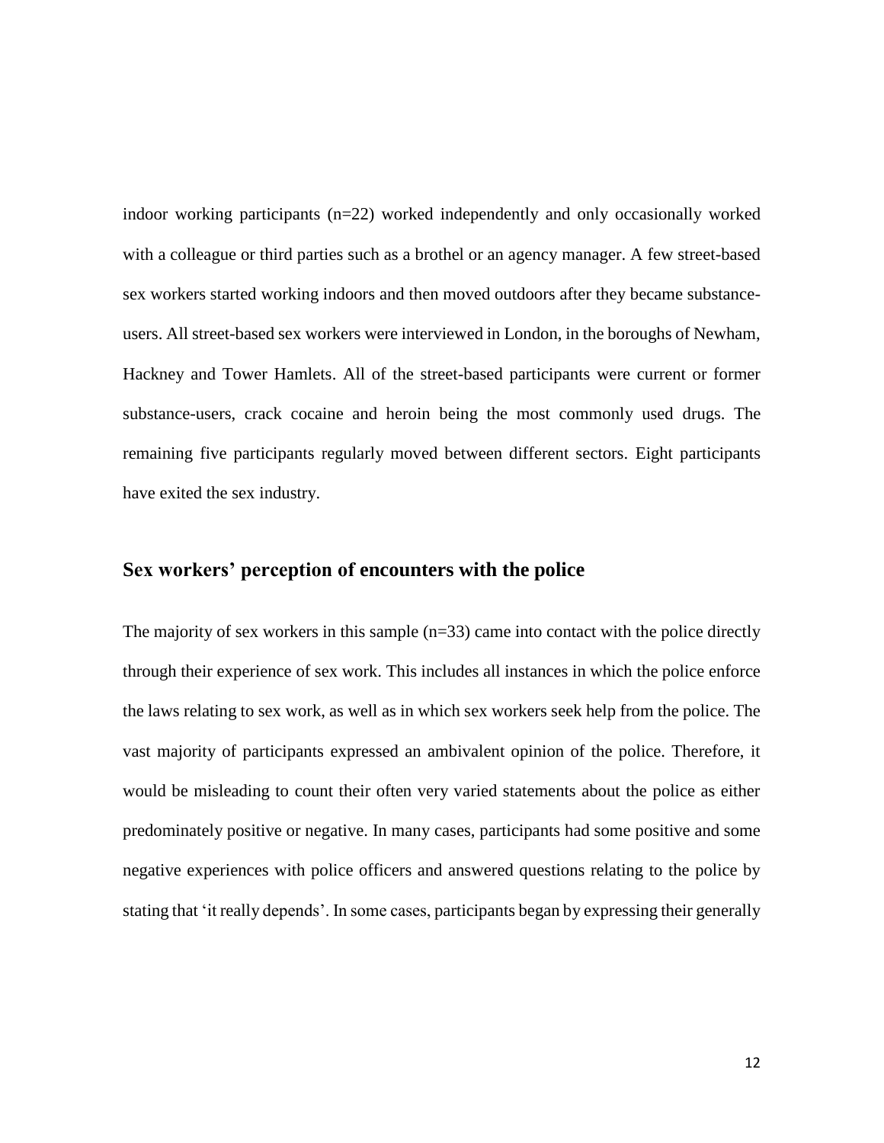indoor working participants (n=22) worked independently and only occasionally worked with a colleague or third parties such as a brothel or an agency manager. A few street-based sex workers started working indoors and then moved outdoors after they became substanceusers. All street-based sex workers were interviewed in London, in the boroughs of Newham, Hackney and Tower Hamlets. All of the street-based participants were current or former substance-users, crack cocaine and heroin being the most commonly used drugs. The remaining five participants regularly moved between different sectors. Eight participants have exited the sex industry.

## **Sex workers' perception of encounters with the police**

The majority of sex workers in this sample  $(n=33)$  came into contact with the police directly through their experience of sex work. This includes all instances in which the police enforce the laws relating to sex work, as well as in which sex workers seek help from the police. The vast majority of participants expressed an ambivalent opinion of the police. Therefore, it would be misleading to count their often very varied statements about the police as either predominately positive or negative. In many cases, participants had some positive and some negative experiences with police officers and answered questions relating to the police by stating that 'it really depends'. In some cases, participants began by expressing their generally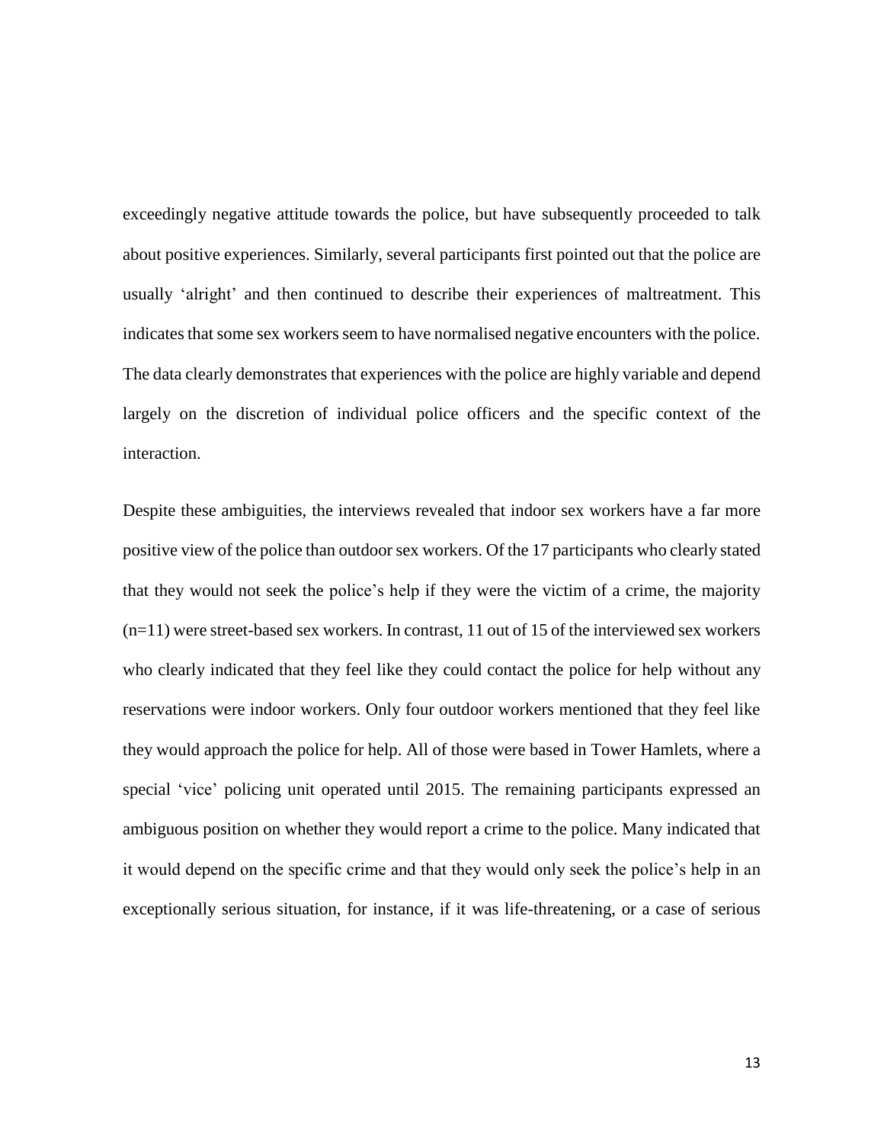exceedingly negative attitude towards the police, but have subsequently proceeded to talk about positive experiences. Similarly, several participants first pointed out that the police are usually 'alright' and then continued to describe their experiences of maltreatment. This indicates that some sex workers seem to have normalised negative encounters with the police. The data clearly demonstrates that experiences with the police are highly variable and depend largely on the discretion of individual police officers and the specific context of the interaction.

Despite these ambiguities, the interviews revealed that indoor sex workers have a far more positive view of the police than outdoor sex workers. Of the 17 participants who clearly stated that they would not seek the police's help if they were the victim of a crime, the majority (n=11) were street-based sex workers. In contrast, 11 out of 15 of the interviewed sex workers who clearly indicated that they feel like they could contact the police for help without any reservations were indoor workers. Only four outdoor workers mentioned that they feel like they would approach the police for help. All of those were based in Tower Hamlets, where a special 'vice' policing unit operated until 2015. The remaining participants expressed an ambiguous position on whether they would report a crime to the police. Many indicated that it would depend on the specific crime and that they would only seek the police's help in an exceptionally serious situation, for instance, if it was life-threatening, or a case of serious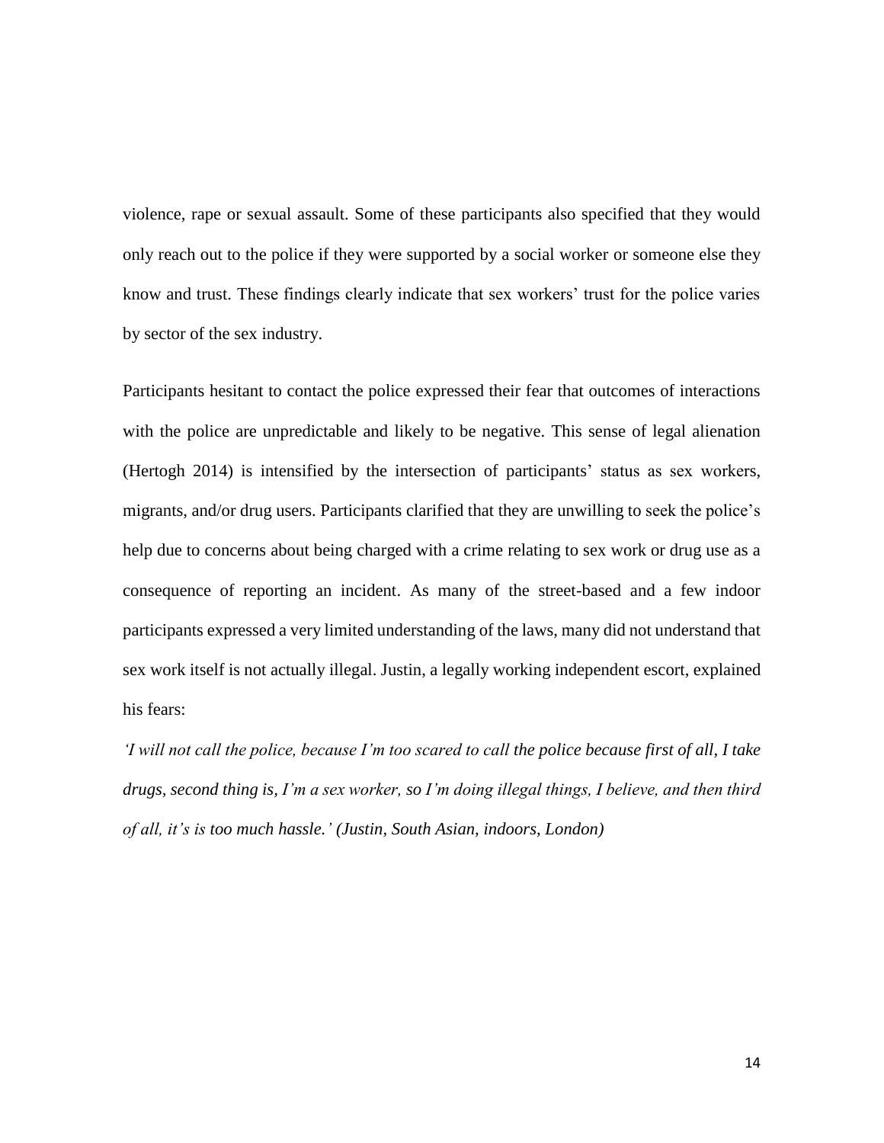violence, rape or sexual assault. Some of these participants also specified that they would only reach out to the police if they were supported by a social worker or someone else they know and trust. These findings clearly indicate that sex workers' trust for the police varies by sector of the sex industry.

Participants hesitant to contact the police expressed their fear that outcomes of interactions with the police are unpredictable and likely to be negative. This sense of legal alienation (Hertogh 2014) is intensified by the intersection of participants' status as sex workers, migrants, and/or drug users. Participants clarified that they are unwilling to seek the police's help due to concerns about being charged with a crime relating to sex work or drug use as a consequence of reporting an incident. As many of the street-based and a few indoor participants expressed a very limited understanding of the laws, many did not understand that sex work itself is not actually illegal. Justin, a legally working independent escort, explained his fears:

*'I will not call the police, because I'm too scared to call the police because first of all, I take drugs, second thing is, I'm a sex worker, so I'm doing illegal things, I believe, and then third of all, it's is too much hassle.' (Justin, South Asian, indoors, London)*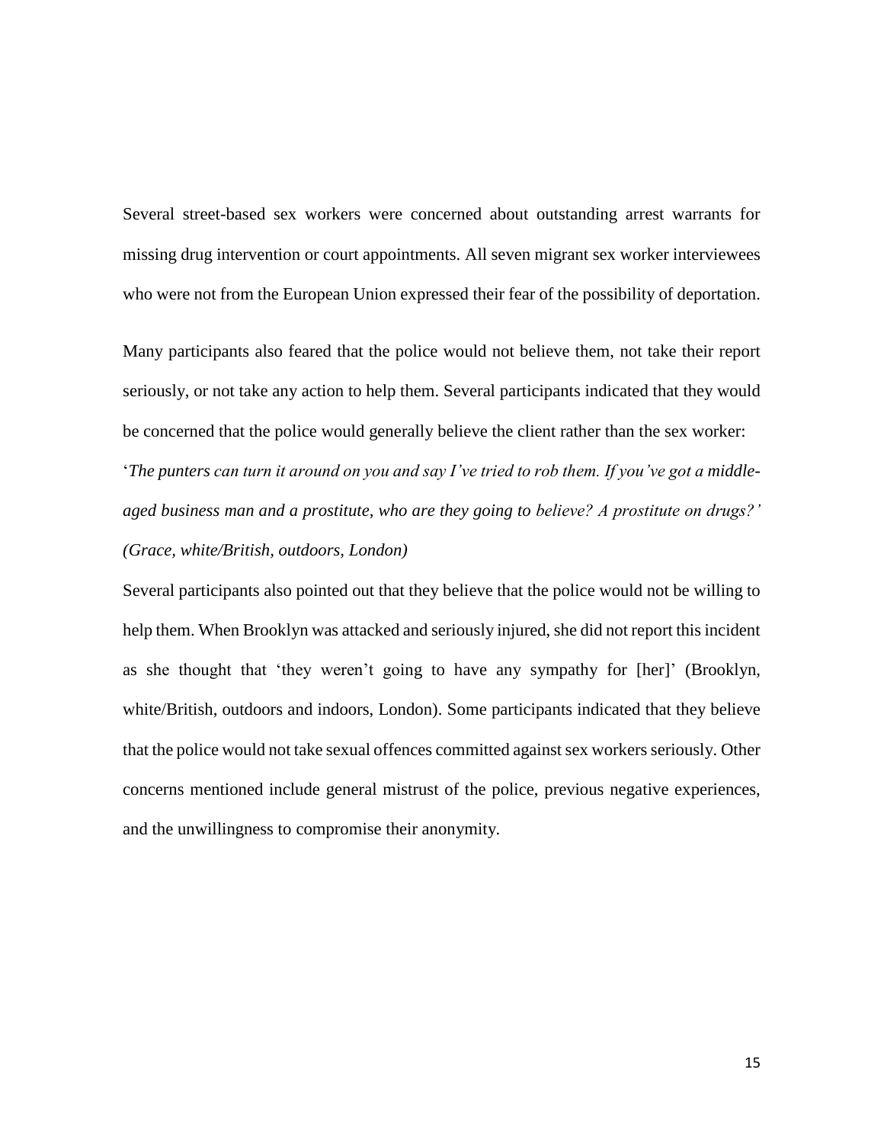Several street-based sex workers were concerned about outstanding arrest warrants for missing drug intervention or court appointments. All seven migrant sex worker interviewees who were not from the European Union expressed their fear of the possibility of deportation.

Many participants also feared that the police would not believe them, not take their report seriously, or not take any action to help them. Several participants indicated that they would be concerned that the police would generally believe the client rather than the sex worker: '*The punters can turn it around on you and say I've tried to rob them. If you've got a middleaged business man and a prostitute, who are they going to believe? A prostitute on drugs?' (Grace, white/British, outdoors, London)*

Several participants also pointed out that they believe that the police would not be willing to help them. When Brooklyn was attacked and seriously injured, she did not report this incident as she thought that 'they weren't going to have any sympathy for [her]' (Brooklyn, white/British, outdoors and indoors, London). Some participants indicated that they believe that the police would not take sexual offences committed against sex workers seriously. Other concerns mentioned include general mistrust of the police, previous negative experiences, and the unwillingness to compromise their anonymity.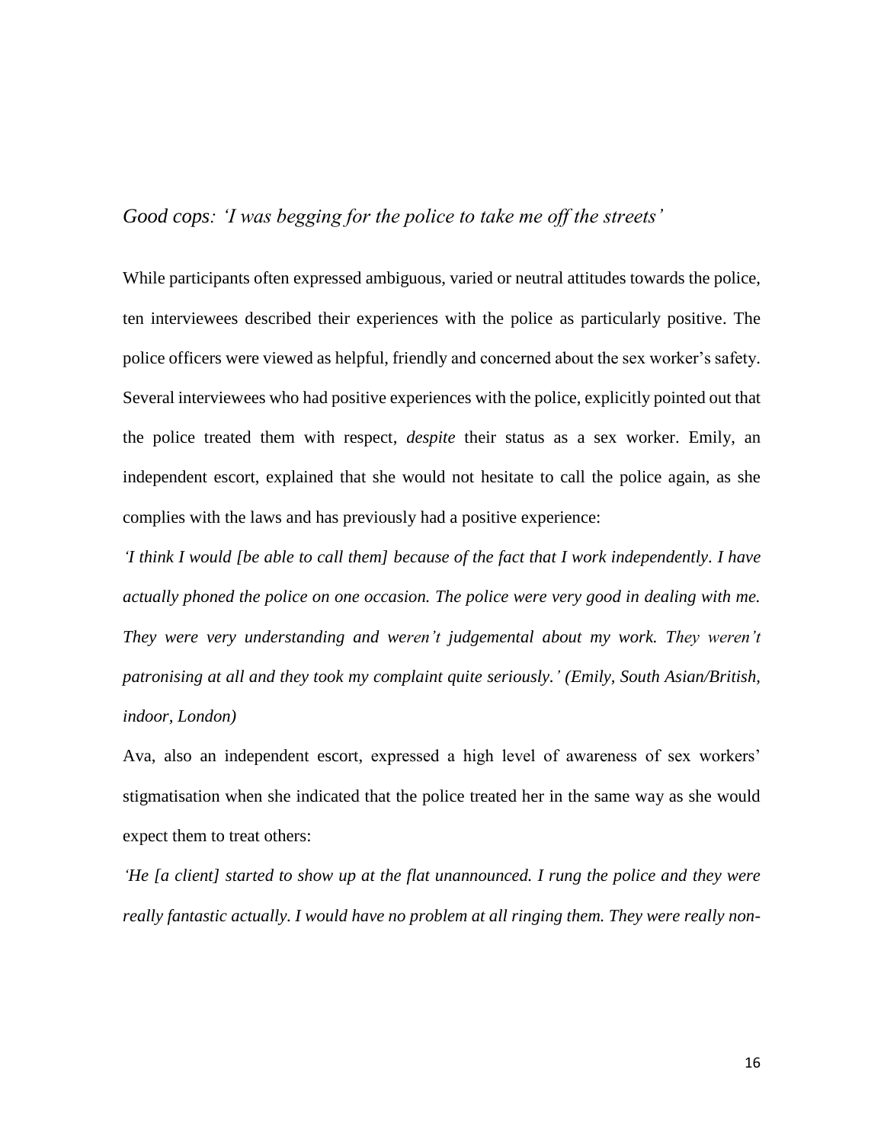# *Good cops: 'I was begging for the police to take me off the streets'*

While participants often expressed ambiguous, varied or neutral attitudes towards the police, ten interviewees described their experiences with the police as particularly positive. The police officers were viewed as helpful, friendly and concerned about the sex worker's safety. Several interviewees who had positive experiences with the police, explicitly pointed out that the police treated them with respect, *despite* their status as a sex worker. Emily, an independent escort, explained that she would not hesitate to call the police again, as she complies with the laws and has previously had a positive experience:

*'I think I would [be able to call them] because of the fact that I work independently. I have actually phoned the police on one occasion. The police were very good in dealing with me. They were very understanding and weren't judgemental about my work. They weren't patronising at all and they took my complaint quite seriously.' (Emily, South Asian/British, indoor, London)*

Ava, also an independent escort, expressed a high level of awareness of sex workers' stigmatisation when she indicated that the police treated her in the same way as she would expect them to treat others:

*'He [a client] started to show up at the flat unannounced. I rung the police and they were really fantastic actually. I would have no problem at all ringing them. They were really non-*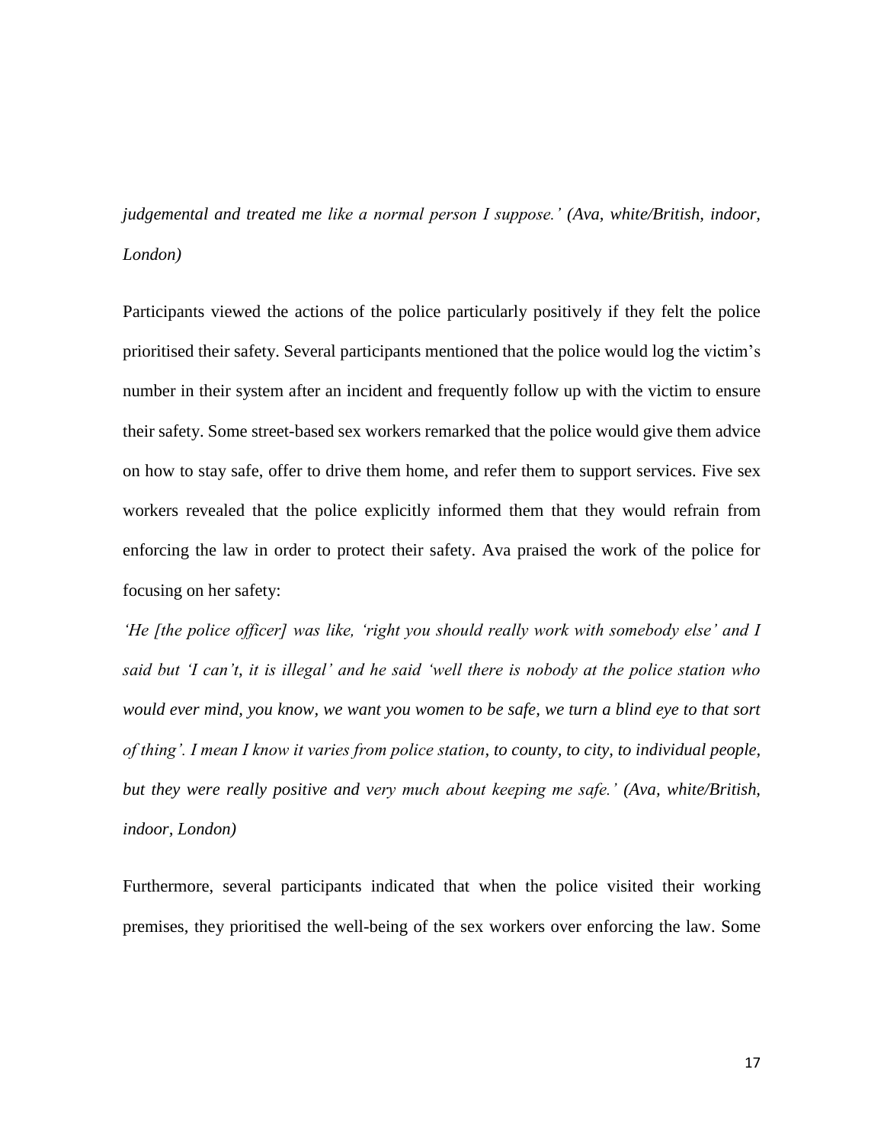*judgemental and treated me like a normal person I suppose.' (Ava, white/British, indoor, London)*

Participants viewed the actions of the police particularly positively if they felt the police prioritised their safety. Several participants mentioned that the police would log the victim's number in their system after an incident and frequently follow up with the victim to ensure their safety. Some street-based sex workers remarked that the police would give them advice on how to stay safe, offer to drive them home, and refer them to support services. Five sex workers revealed that the police explicitly informed them that they would refrain from enforcing the law in order to protect their safety. Ava praised the work of the police for focusing on her safety:

*'He [the police officer] was like, 'right you should really work with somebody else' and I said but 'I can't, it is illegal' and he said 'well there is nobody at the police station who would ever mind, you know, we want you women to be safe, we turn a blind eye to that sort of thing'. I mean I know it varies from police station, to county, to city, to individual people, but they were really positive and very much about keeping me safe.' (Ava, white/British, indoor, London)*

Furthermore, several participants indicated that when the police visited their working premises, they prioritised the well-being of the sex workers over enforcing the law. Some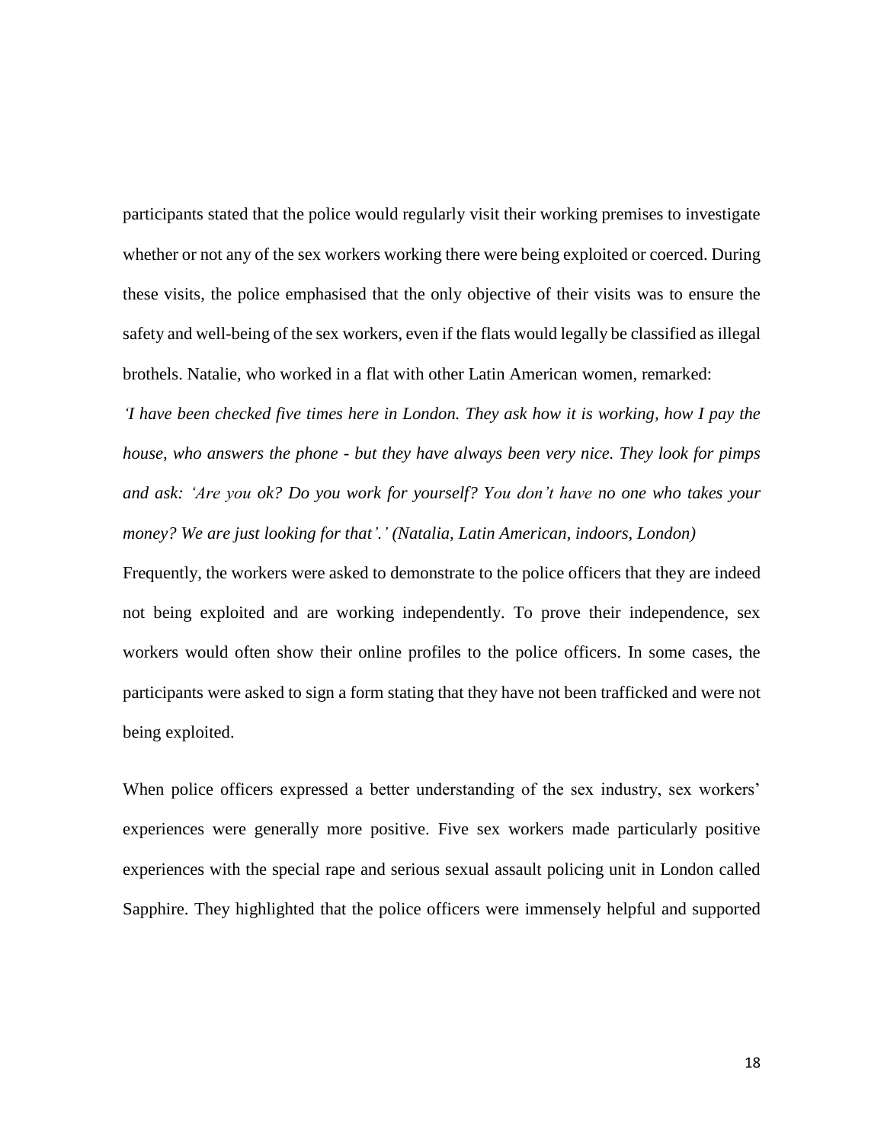participants stated that the police would regularly visit their working premises to investigate whether or not any of the sex workers working there were being exploited or coerced. During these visits, the police emphasised that the only objective of their visits was to ensure the safety and well-being of the sex workers, even if the flats would legally be classified as illegal brothels. Natalie, who worked in a flat with other Latin American women, remarked:

*'I have been checked five times here in London. They ask how it is working, how I pay the house, who answers the phone - but they have always been very nice. They look for pimps and ask: 'Are you ok? Do you work for yourself? You don't have no one who takes your money? We are just looking for that'.' (Natalia, Latin American, indoors, London)*

Frequently, the workers were asked to demonstrate to the police officers that they are indeed not being exploited and are working independently. To prove their independence, sex workers would often show their online profiles to the police officers. In some cases, the participants were asked to sign a form stating that they have not been trafficked and were not being exploited.

When police officers expressed a better understanding of the sex industry, sex workers' experiences were generally more positive. Five sex workers made particularly positive experiences with the special rape and serious sexual assault policing unit in London called Sapphire. They highlighted that the police officers were immensely helpful and supported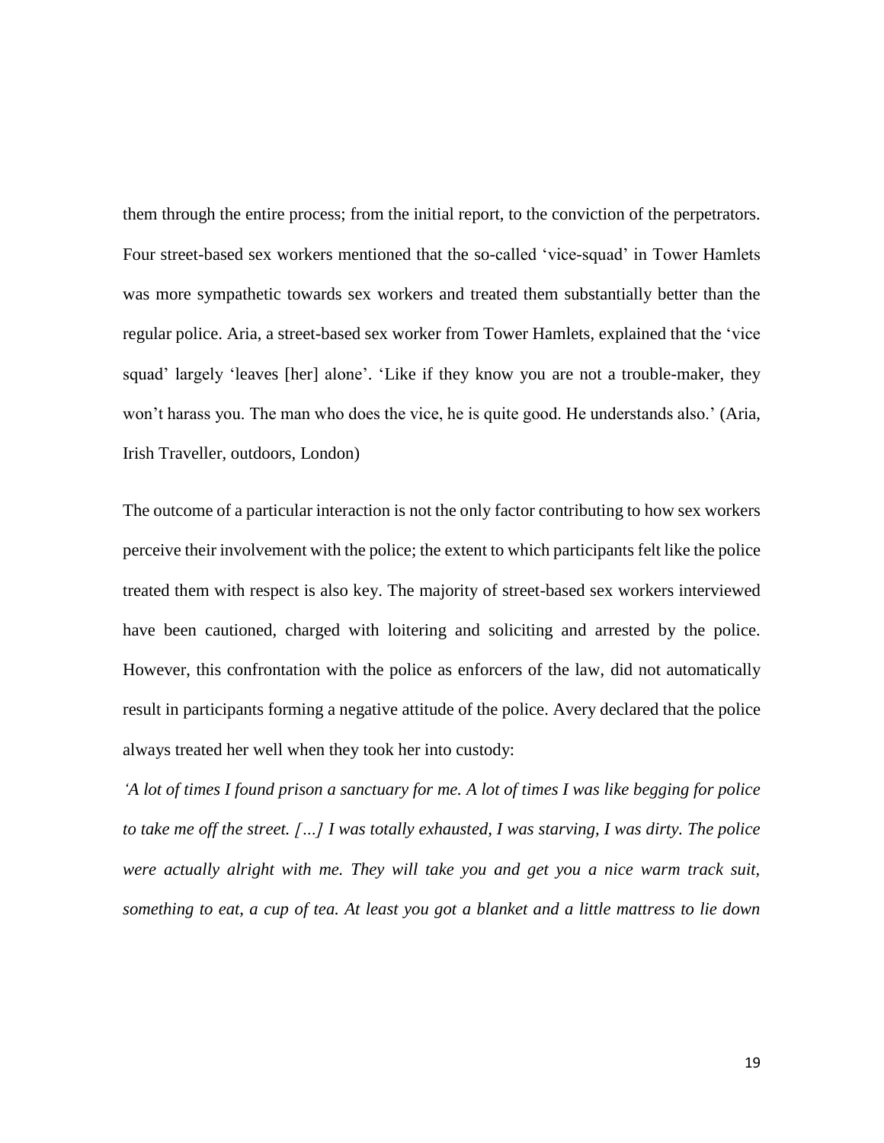them through the entire process; from the initial report, to the conviction of the perpetrators. Four street-based sex workers mentioned that the so-called 'vice-squad' in Tower Hamlets was more sympathetic towards sex workers and treated them substantially better than the regular police. Aria, a street-based sex worker from Tower Hamlets, explained that the 'vice squad' largely 'leaves [her] alone'. 'Like if they know you are not a trouble-maker, they won't harass you. The man who does the vice, he is quite good. He understands also.' (Aria, Irish Traveller, outdoors, London)

The outcome of a particular interaction is not the only factor contributing to how sex workers perceive their involvement with the police; the extent to which participants felt like the police treated them with respect is also key. The majority of street-based sex workers interviewed have been cautioned, charged with loitering and soliciting and arrested by the police. However, this confrontation with the police as enforcers of the law, did not automatically result in participants forming a negative attitude of the police. Avery declared that the police always treated her well when they took her into custody:

*'A lot of times I found prison a sanctuary for me. A lot of times I was like begging for police to take me off the street. […] I was totally exhausted, I was starving, I was dirty. The police were actually alright with me. They will take you and get you a nice warm track suit, something to eat, a cup of tea. At least you got a blanket and a little mattress to lie down*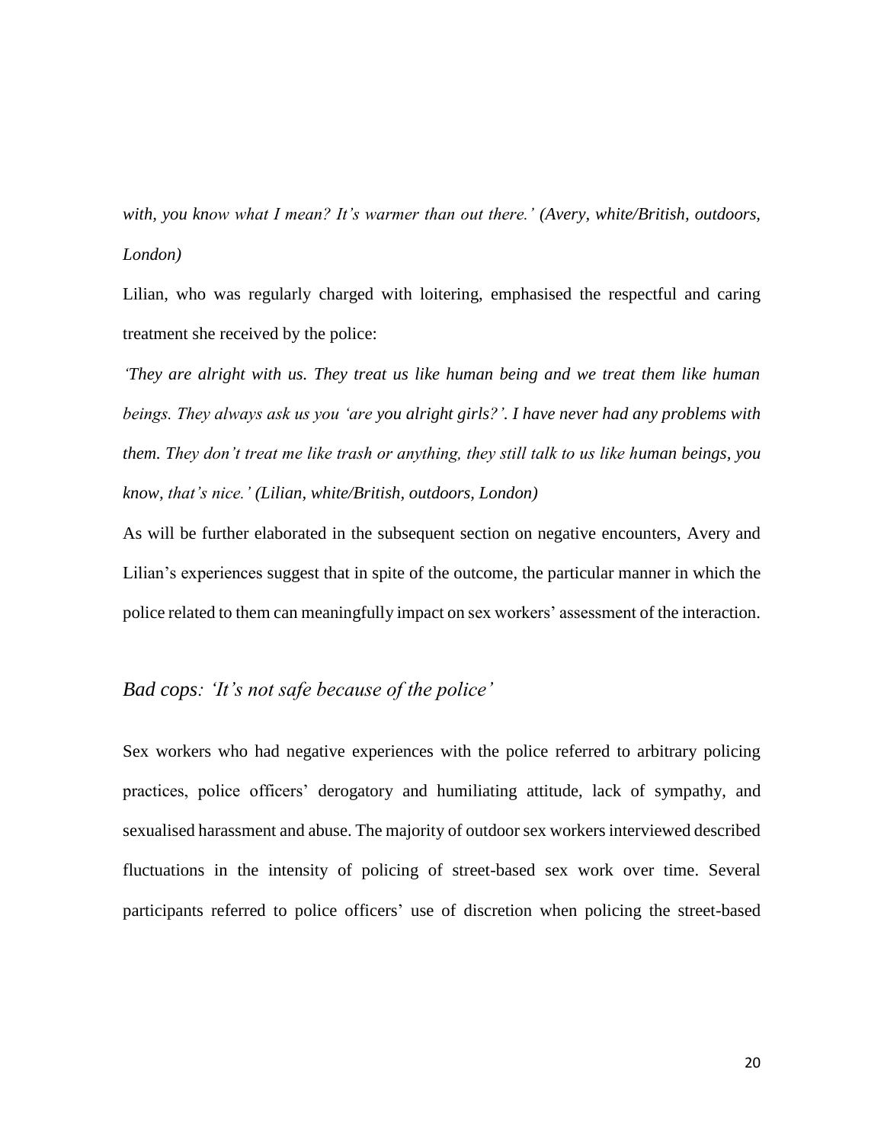*with, you know what I mean? It's warmer than out there.' (Avery, white/British, outdoors, London)*

Lilian, who was regularly charged with loitering, emphasised the respectful and caring treatment she received by the police:

*'They are alright with us. They treat us like human being and we treat them like human beings. They always ask us you 'are you alright girls?'. I have never had any problems with them. They don't treat me like trash or anything, they still talk to us like human beings, you know, that's nice.' (Lilian, white/British, outdoors, London)*

As will be further elaborated in the subsequent section on negative encounters, Avery and Lilian's experiences suggest that in spite of the outcome, the particular manner in which the police related to them can meaningfully impact on sex workers' assessment of the interaction.

# *Bad cops: 'It's not safe because of the police'*

Sex workers who had negative experiences with the police referred to arbitrary policing practices, police officers' derogatory and humiliating attitude, lack of sympathy, and sexualised harassment and abuse. The majority of outdoor sex workers interviewed described fluctuations in the intensity of policing of street-based sex work over time. Several participants referred to police officers' use of discretion when policing the street-based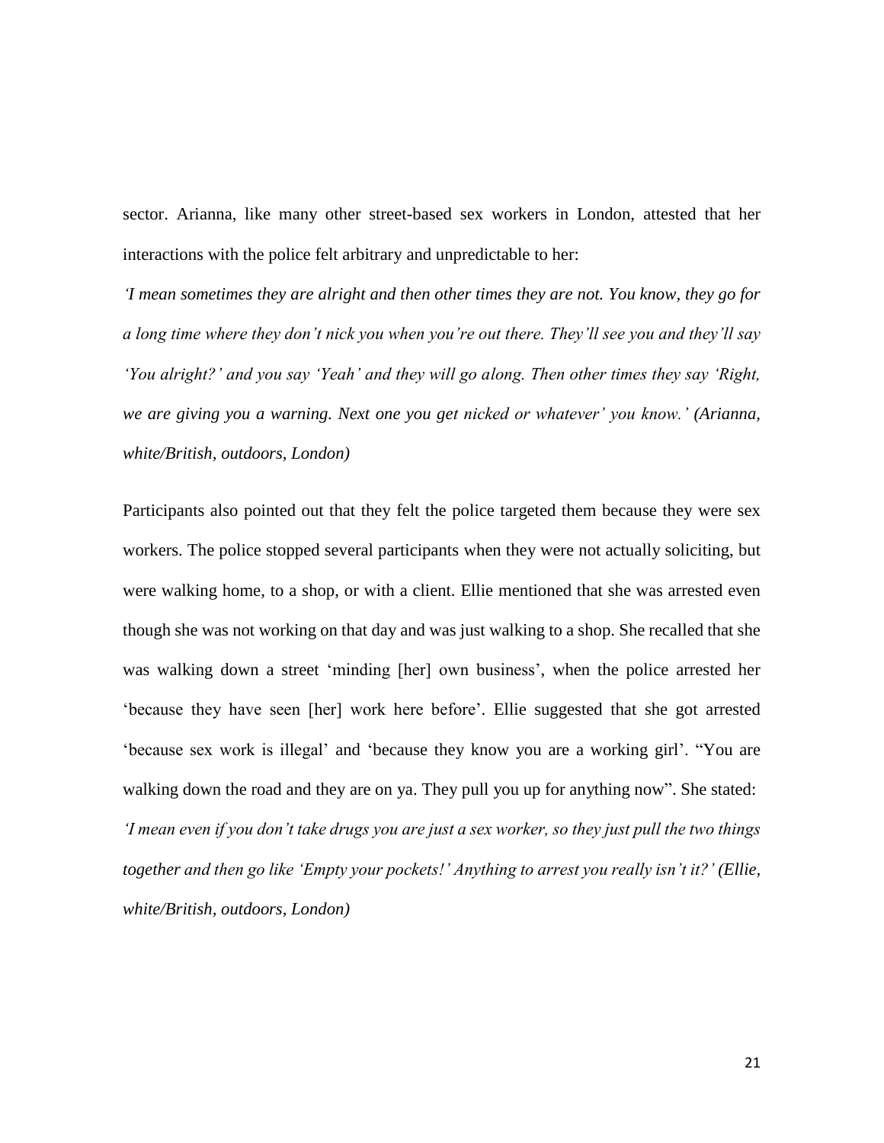sector. Arianna, like many other street-based sex workers in London, attested that her interactions with the police felt arbitrary and unpredictable to her:

*'I mean sometimes they are alright and then other times they are not. You know, they go for a long time where they don't nick you when you're out there. They'll see you and they'll say 'You alright?' and you say 'Yeah' and they will go along. Then other times they say 'Right, we are giving you a warning. Next one you get nicked or whatever' you know.' (Arianna, white/British, outdoors, London)*

Participants also pointed out that they felt the police targeted them because they were sex workers. The police stopped several participants when they were not actually soliciting, but were walking home, to a shop, or with a client. Ellie mentioned that she was arrested even though she was not working on that day and was just walking to a shop. She recalled that she was walking down a street 'minding [her] own business', when the police arrested her 'because they have seen [her] work here before'. Ellie suggested that she got arrested 'because sex work is illegal' and 'because they know you are a working girl'. "You are walking down the road and they are on ya. They pull you up for anything now". She stated: *'I mean even if you don't take drugs you are just a sex worker, so they just pull the two things together and then go like 'Empty your pockets!' Anything to arrest you really isn't it?' (Ellie, white/British, outdoors, London)*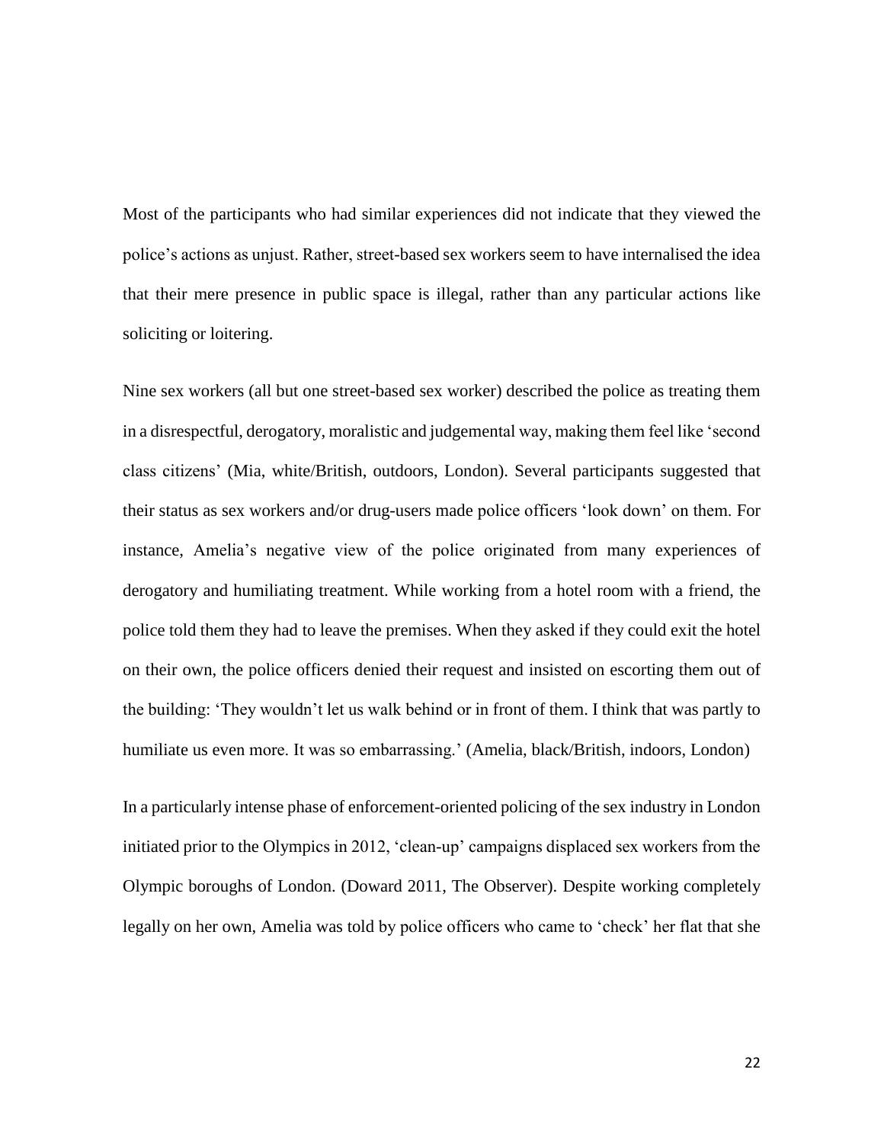Most of the participants who had similar experiences did not indicate that they viewed the police's actions as unjust. Rather, street-based sex workers seem to have internalised the idea that their mere presence in public space is illegal, rather than any particular actions like soliciting or loitering.

Nine sex workers (all but one street-based sex worker) described the police as treating them in a disrespectful, derogatory, moralistic and judgemental way, making them feel like 'second class citizens' (Mia, white/British, outdoors, London). Several participants suggested that their status as sex workers and/or drug-users made police officers 'look down' on them. For instance, Amelia's negative view of the police originated from many experiences of derogatory and humiliating treatment. While working from a hotel room with a friend, the police told them they had to leave the premises. When they asked if they could exit the hotel on their own, the police officers denied their request and insisted on escorting them out of the building: 'They wouldn't let us walk behind or in front of them. I think that was partly to humiliate us even more. It was so embarrassing.' (Amelia, black/British, indoors, London)

In a particularly intense phase of enforcement-oriented policing of the sex industry in London initiated prior to the Olympics in 2012, 'clean-up' campaigns displaced sex workers from the Olympic boroughs of London. (Doward 2011, The Observer). Despite working completely legally on her own, Amelia was told by police officers who came to 'check' her flat that she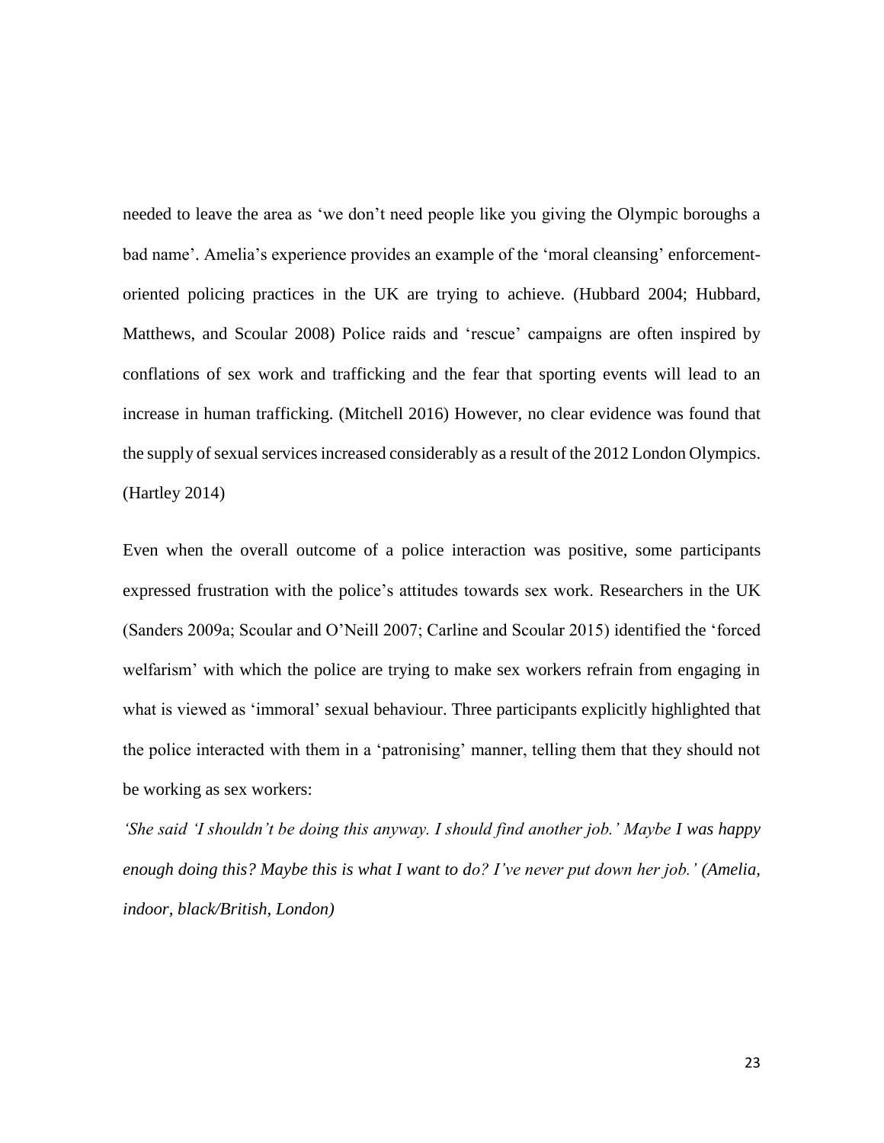needed to leave the area as 'we don't need people like you giving the Olympic boroughs a bad name'. Amelia's experience provides an example of the 'moral cleansing' enforcementoriented policing practices in the UK are trying to achieve. (Hubbard 2004; Hubbard, Matthews, and Scoular 2008) Police raids and 'rescue' campaigns are often inspired by conflations of sex work and trafficking and the fear that sporting events will lead to an increase in human trafficking. (Mitchell 2016) However, no clear evidence was found that the supply of sexual services increased considerably as a result of the 2012 London Olympics. (Hartley 2014)

Even when the overall outcome of a police interaction was positive, some participants expressed frustration with the police's attitudes towards sex work. Researchers in the UK (Sanders 2009a; Scoular and O'Neill 2007; Carline and Scoular 2015) identified the 'forced welfarism' with which the police are trying to make sex workers refrain from engaging in what is viewed as 'immoral' sexual behaviour. Three participants explicitly highlighted that the police interacted with them in a 'patronising' manner, telling them that they should not be working as sex workers:

*'She said 'I shouldn't be doing this anyway. I should find another job.' Maybe I was happy enough doing this? Maybe this is what I want to do? I've never put down her job.' (Amelia, indoor, black/British, London)*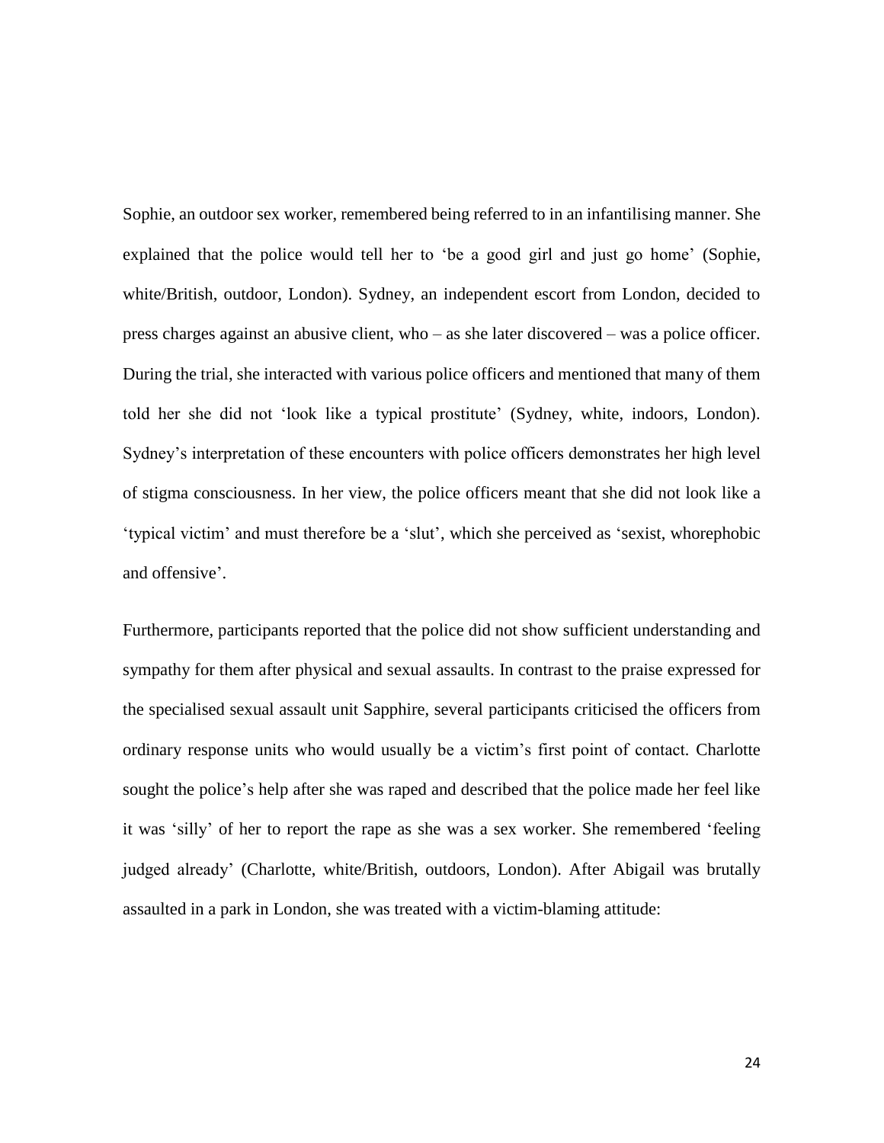Sophie, an outdoor sex worker, remembered being referred to in an infantilising manner. She explained that the police would tell her to 'be a good girl and just go home' (Sophie, white/British, outdoor, London). Sydney, an independent escort from London, decided to press charges against an abusive client, who – as she later discovered – was a police officer. During the trial, she interacted with various police officers and mentioned that many of them told her she did not 'look like a typical prostitute' (Sydney, white, indoors, London). Sydney's interpretation of these encounters with police officers demonstrates her high level of stigma consciousness. In her view, the police officers meant that she did not look like a 'typical victim' and must therefore be a 'slut', which she perceived as 'sexist, whorephobic and offensive'.

Furthermore, participants reported that the police did not show sufficient understanding and sympathy for them after physical and sexual assaults. In contrast to the praise expressed for the specialised sexual assault unit Sapphire, several participants criticised the officers from ordinary response units who would usually be a victim's first point of contact*.* Charlotte sought the police's help after she was raped and described that the police made her feel like it was 'silly' of her to report the rape as she was a sex worker. She remembered 'feeling judged already' (Charlotte, white/British, outdoors, London). After Abigail was brutally assaulted in a park in London, she was treated with a victim-blaming attitude: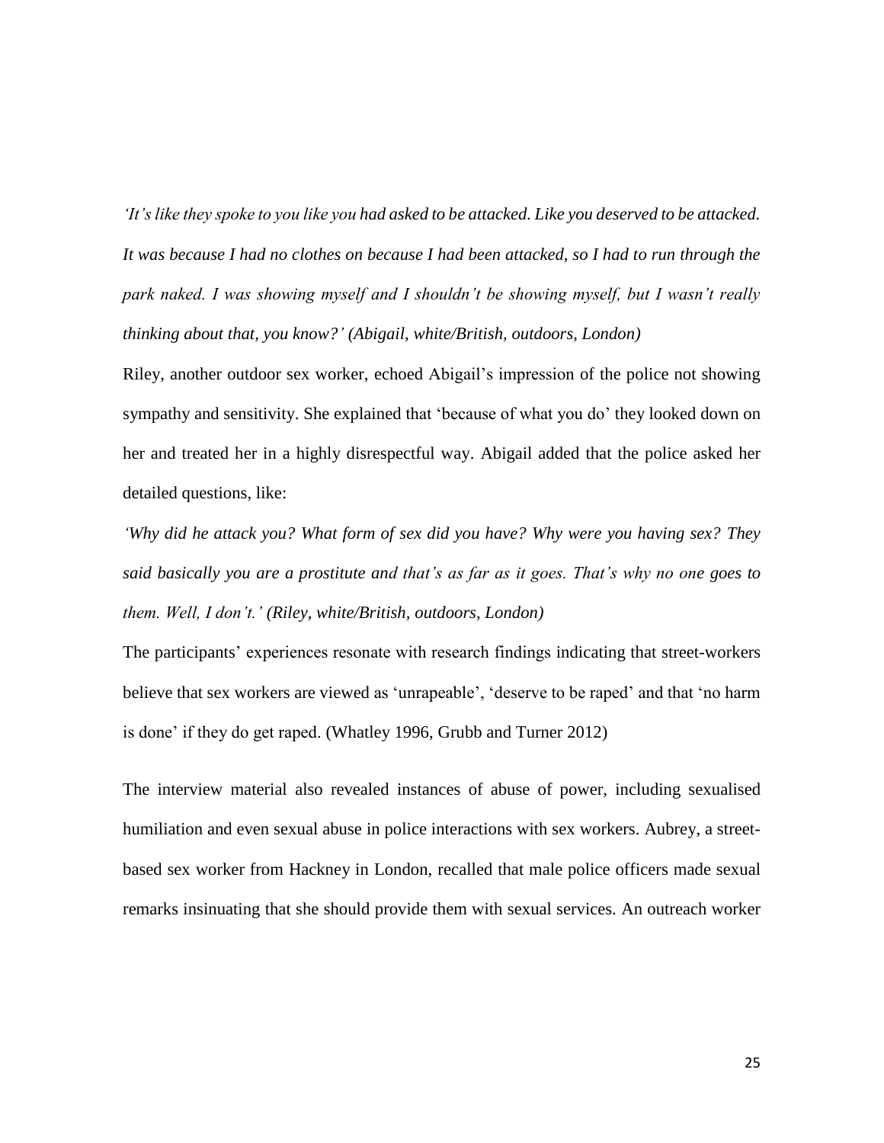*'It's like they spoke to you like you had asked to be attacked. Like you deserved to be attacked. It was because I had no clothes on because I had been attacked, so I had to run through the park naked. I was showing myself and I shouldn't be showing myself, but I wasn't really thinking about that, you know?' (Abigail, white/British, outdoors, London)*

Riley, another outdoor sex worker, echoed Abigail's impression of the police not showing sympathy and sensitivity. She explained that 'because of what you do' they looked down on her and treated her in a highly disrespectful way. Abigail added that the police asked her detailed questions, like:

*'Why did he attack you? What form of sex did you have? Why were you having sex? They said basically you are a prostitute and that's as far as it goes. That's why no one goes to them. Well, I don't.' (Riley, white/British, outdoors, London)*

The participants' experiences resonate with research findings indicating that street-workers believe that sex workers are viewed as 'unrapeable', 'deserve to be raped' and that 'no harm is done' if they do get raped. (Whatley 1996, Grubb and Turner 2012)

The interview material also revealed instances of abuse of power, including sexualised humiliation and even sexual abuse in police interactions with sex workers. Aubrey, a streetbased sex worker from Hackney in London, recalled that male police officers made sexual remarks insinuating that she should provide them with sexual services. An outreach worker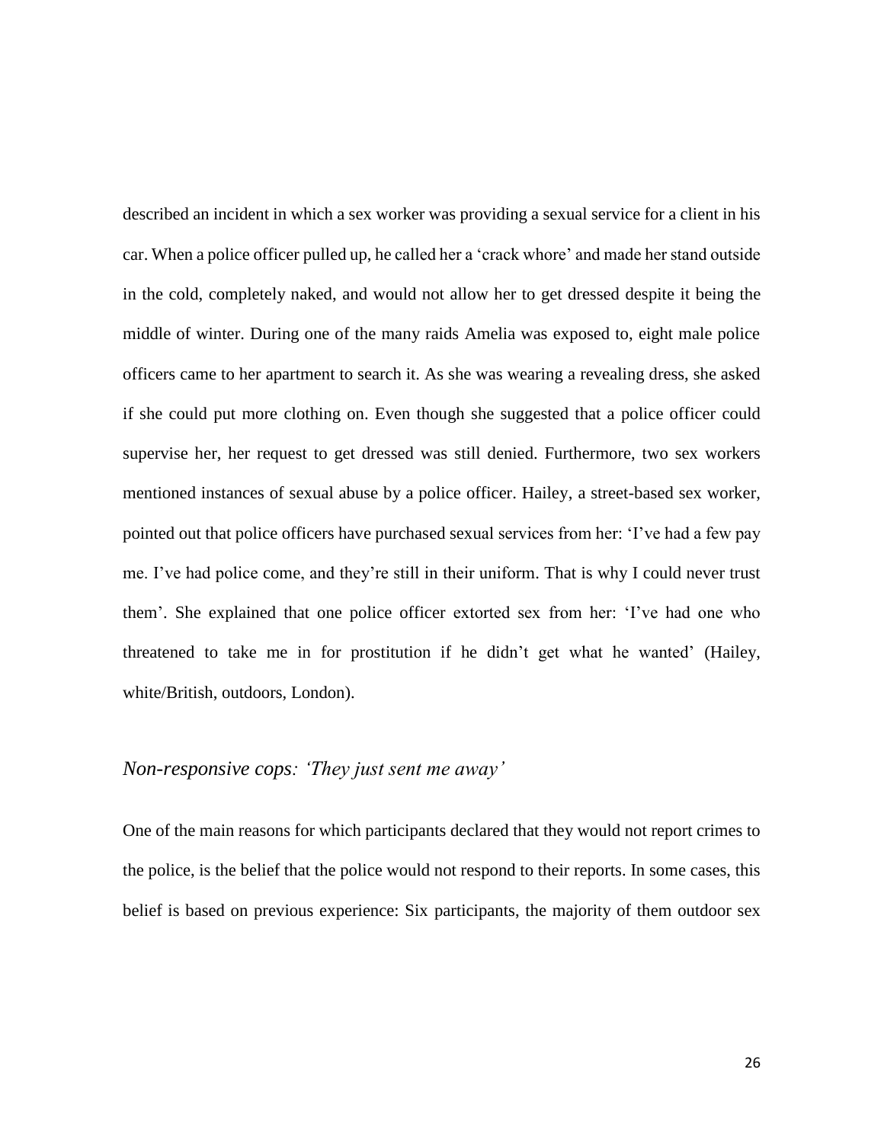described an incident in which a sex worker was providing a sexual service for a client in his car. When a police officer pulled up, he called her a 'crack whore' and made her stand outside in the cold, completely naked, and would not allow her to get dressed despite it being the middle of winter. During one of the many raids Amelia was exposed to, eight male police officers came to her apartment to search it. As she was wearing a revealing dress, she asked if she could put more clothing on. Even though she suggested that a police officer could supervise her, her request to get dressed was still denied. Furthermore, two sex workers mentioned instances of sexual abuse by a police officer. Hailey, a street-based sex worker, pointed out that police officers have purchased sexual services from her: 'I've had a few pay me. I've had police come, and they're still in their uniform. That is why I could never trust them'. She explained that one police officer extorted sex from her: 'I've had one who threatened to take me in for prostitution if he didn't get what he wanted' (Hailey, white/British, outdoors, London).

## *Non-responsive cops: 'They just sent me away'*

One of the main reasons for which participants declared that they would not report crimes to the police, is the belief that the police would not respond to their reports. In some cases, this belief is based on previous experience: Six participants, the majority of them outdoor sex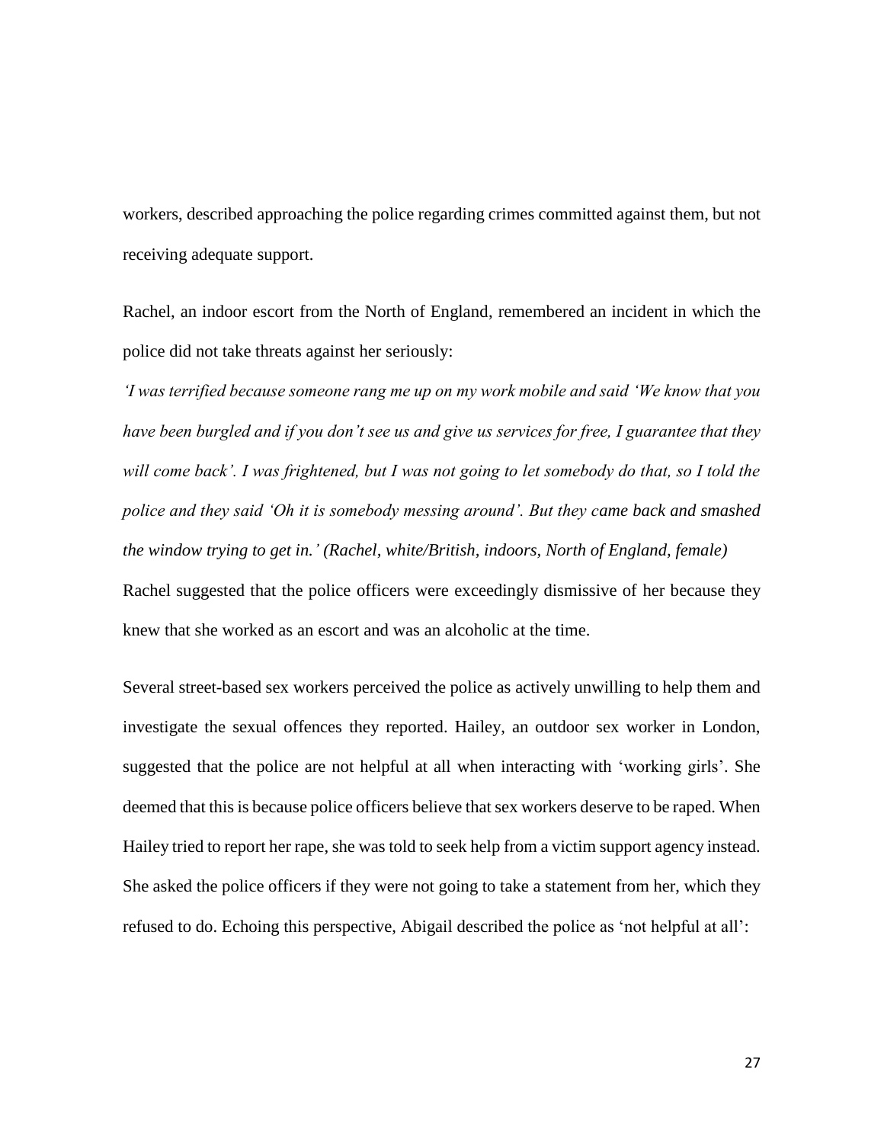workers, described approaching the police regarding crimes committed against them, but not receiving adequate support.

Rachel, an indoor escort from the North of England, remembered an incident in which the police did not take threats against her seriously:

*'I was terrified because someone rang me up on my work mobile and said 'We know that you have been burgled and if you don't see us and give us services for free, I guarantee that they will come back'. I was frightened, but I was not going to let somebody do that, so I told the police and they said 'Oh it is somebody messing around'. But they came back and smashed the window trying to get in.' (Rachel, white/British, indoors, North of England, female)* Rachel suggested that the police officers were exceedingly dismissive of her because they knew that she worked as an escort and was an alcoholic at the time.

Several street-based sex workers perceived the police as actively unwilling to help them and investigate the sexual offences they reported. Hailey, an outdoor sex worker in London, suggested that the police are not helpful at all when interacting with 'working girls'. She deemed that this is because police officers believe that sex workers deserve to be raped. When Hailey tried to report her rape, she was told to seek help from a victim support agency instead. She asked the police officers if they were not going to take a statement from her, which they refused to do. Echoing this perspective, Abigail described the police as 'not helpful at all':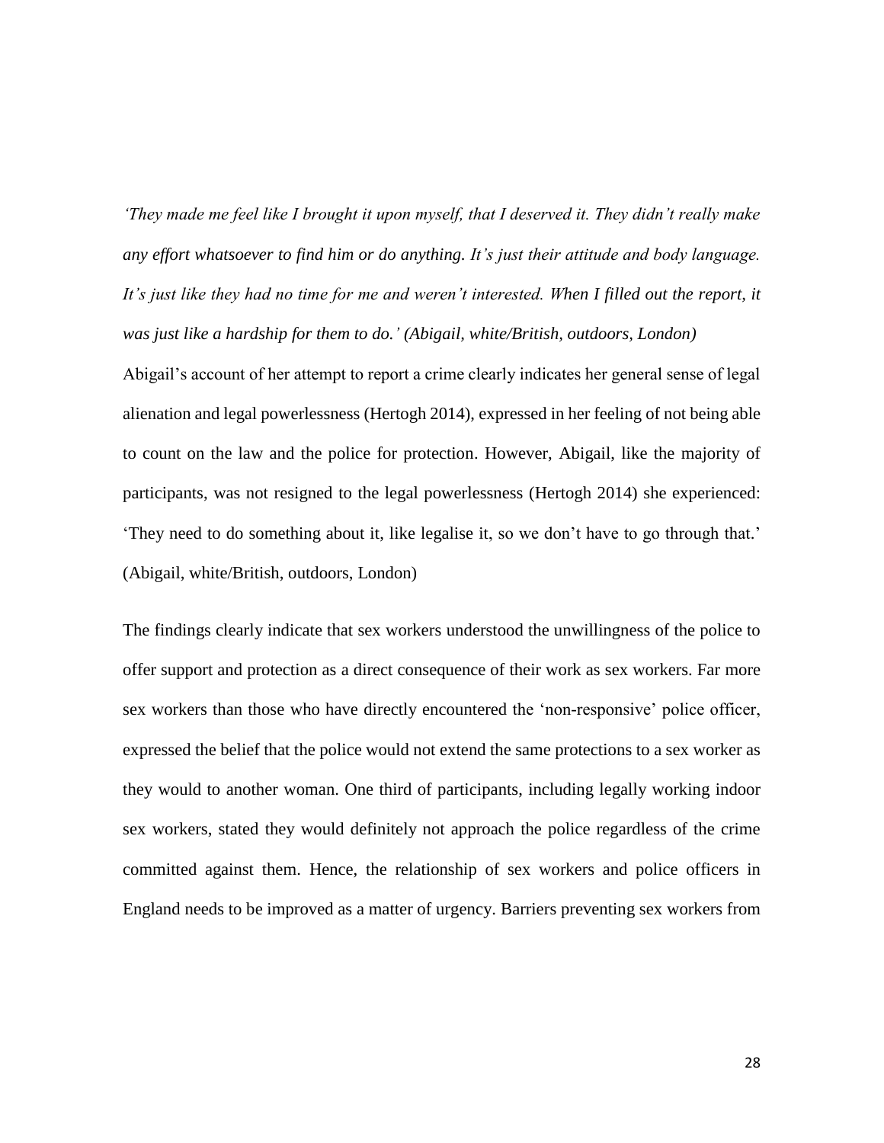*'They made me feel like I brought it upon myself, that I deserved it. They didn't really make any effort whatsoever to find him or do anything. It's just their attitude and body language.*  It's just like they had no time for me and weren't interested. When I filled out the report, it *was just like a hardship for them to do.' (Abigail, white/British, outdoors, London)* Abigail's account of her attempt to report a crime clearly indicates her general sense of legal alienation and legal powerlessness (Hertogh 2014), expressed in her feeling of not being able to count on the law and the police for protection. However, Abigail, like the majority of participants, was not resigned to the legal powerlessness (Hertogh 2014) she experienced: 'They need to do something about it, like legalise it, so we don't have to go through that.' (Abigail, white/British, outdoors, London)

The findings clearly indicate that sex workers understood the unwillingness of the police to offer support and protection as a direct consequence of their work as sex workers. Far more sex workers than those who have directly encountered the 'non-responsive' police officer, expressed the belief that the police would not extend the same protections to a sex worker as they would to another woman. One third of participants, including legally working indoor sex workers, stated they would definitely not approach the police regardless of the crime committed against them. Hence, the relationship of sex workers and police officers in England needs to be improved as a matter of urgency. Barriers preventing sex workers from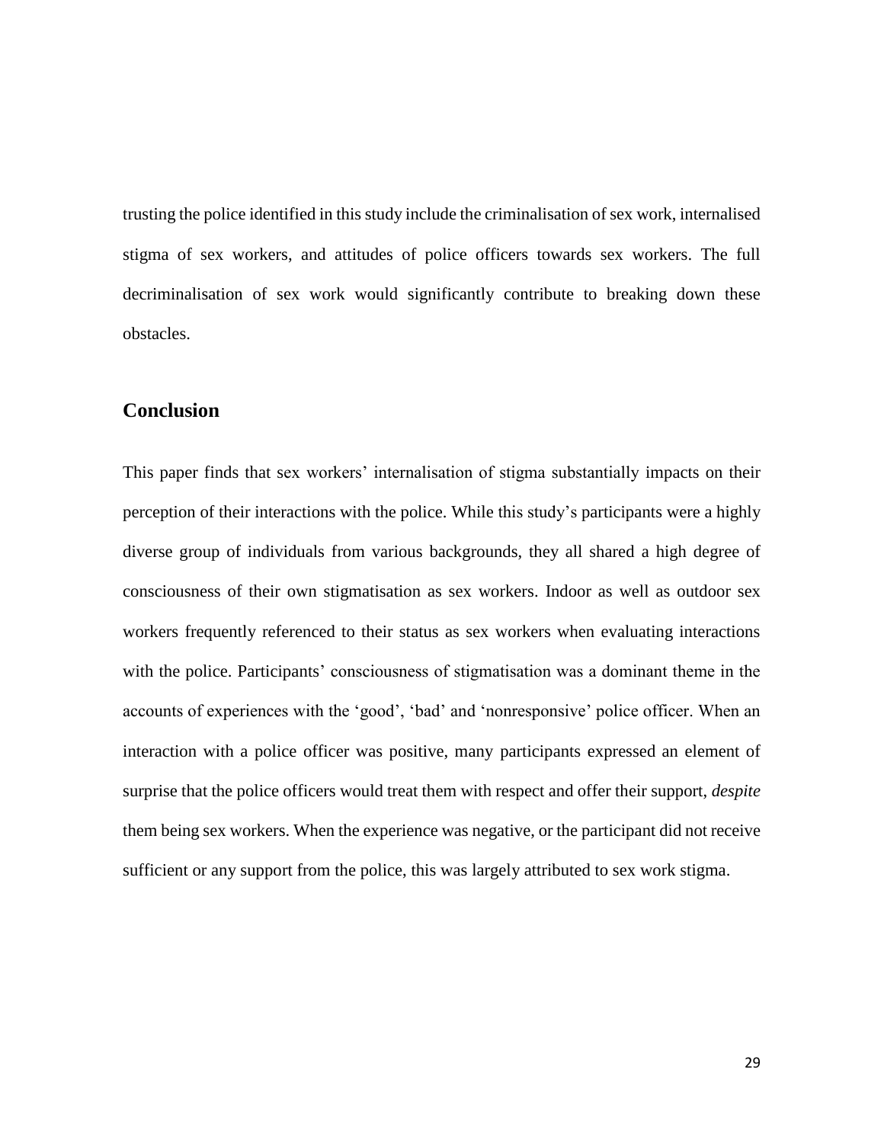trusting the police identified in this study include the criminalisation of sex work, internalised stigma of sex workers, and attitudes of police officers towards sex workers. The full decriminalisation of sex work would significantly contribute to breaking down these obstacles.

# **Conclusion**

This paper finds that sex workers' internalisation of stigma substantially impacts on their perception of their interactions with the police. While this study's participants were a highly diverse group of individuals from various backgrounds, they all shared a high degree of consciousness of their own stigmatisation as sex workers. Indoor as well as outdoor sex workers frequently referenced to their status as sex workers when evaluating interactions with the police. Participants' consciousness of stigmatisation was a dominant theme in the accounts of experiences with the 'good', 'bad' and 'nonresponsive' police officer. When an interaction with a police officer was positive, many participants expressed an element of surprise that the police officers would treat them with respect and offer their support, *despite* them being sex workers. When the experience was negative, or the participant did not receive sufficient or any support from the police, this was largely attributed to sex work stigma.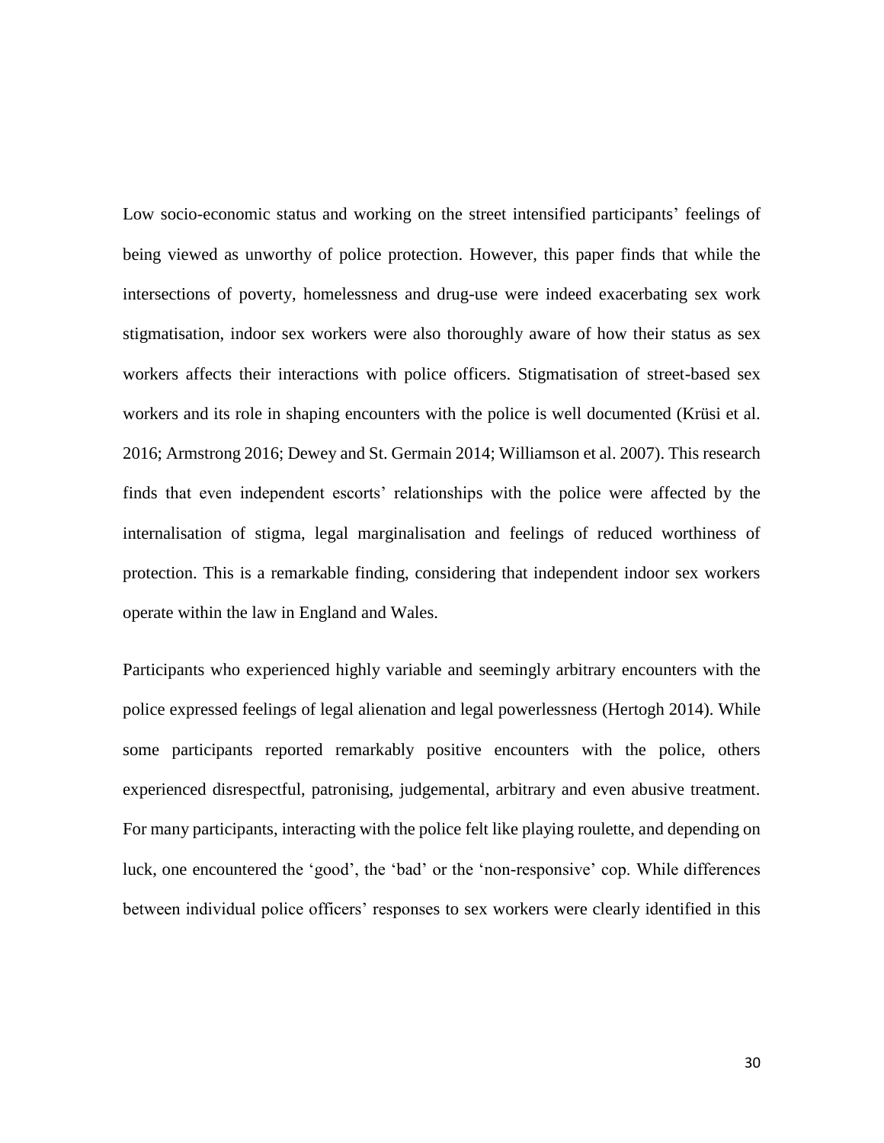Low socio-economic status and working on the street intensified participants' feelings of being viewed as unworthy of police protection. However, this paper finds that while the intersections of poverty, homelessness and drug-use were indeed exacerbating sex work stigmatisation, indoor sex workers were also thoroughly aware of how their status as sex workers affects their interactions with police officers. Stigmatisation of street-based sex workers and its role in shaping encounters with the police is well documented (Krüsi et al. 2016; Armstrong 2016; Dewey and St. Germain 2014; Williamson et al. 2007). This research finds that even independent escorts' relationships with the police were affected by the internalisation of stigma, legal marginalisation and feelings of reduced worthiness of protection. This is a remarkable finding, considering that independent indoor sex workers operate within the law in England and Wales.

Participants who experienced highly variable and seemingly arbitrary encounters with the police expressed feelings of legal alienation and legal powerlessness (Hertogh 2014). While some participants reported remarkably positive encounters with the police, others experienced disrespectful, patronising, judgemental, arbitrary and even abusive treatment. For many participants, interacting with the police felt like playing roulette, and depending on luck, one encountered the 'good', the 'bad' or the 'non-responsive' cop. While differences between individual police officers' responses to sex workers were clearly identified in this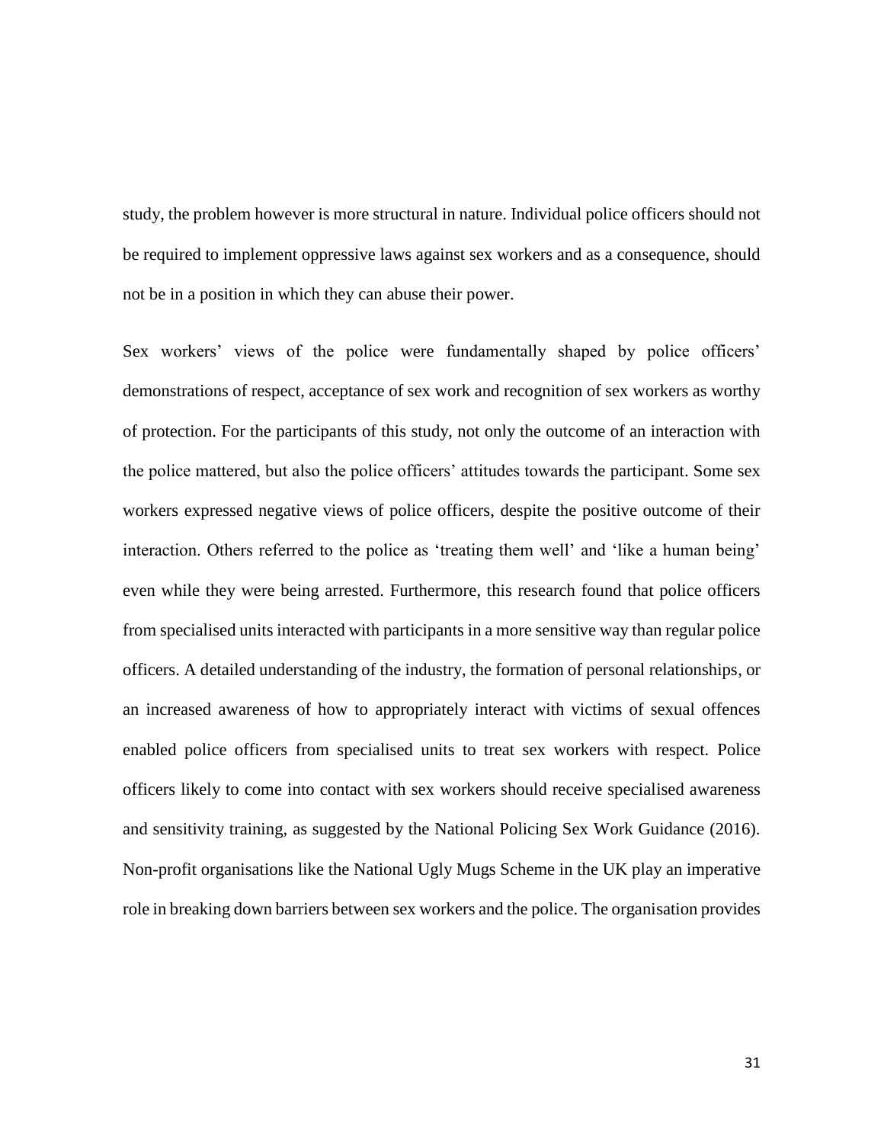study, the problem however is more structural in nature. Individual police officers should not be required to implement oppressive laws against sex workers and as a consequence, should not be in a position in which they can abuse their power.

Sex workers' views of the police were fundamentally shaped by police officers' demonstrations of respect, acceptance of sex work and recognition of sex workers as worthy of protection. For the participants of this study, not only the outcome of an interaction with the police mattered, but also the police officers' attitudes towards the participant. Some sex workers expressed negative views of police officers, despite the positive outcome of their interaction. Others referred to the police as 'treating them well' and 'like a human being' even while they were being arrested. Furthermore, this research found that police officers from specialised units interacted with participants in a more sensitive way than regular police officers. A detailed understanding of the industry, the formation of personal relationships, or an increased awareness of how to appropriately interact with victims of sexual offences enabled police officers from specialised units to treat sex workers with respect. Police officers likely to come into contact with sex workers should receive specialised awareness and sensitivity training, as suggested by the National Policing Sex Work Guidance (2016). Non-profit organisations like the National Ugly Mugs Scheme in the UK play an imperative role in breaking down barriers between sex workers and the police. The organisation provides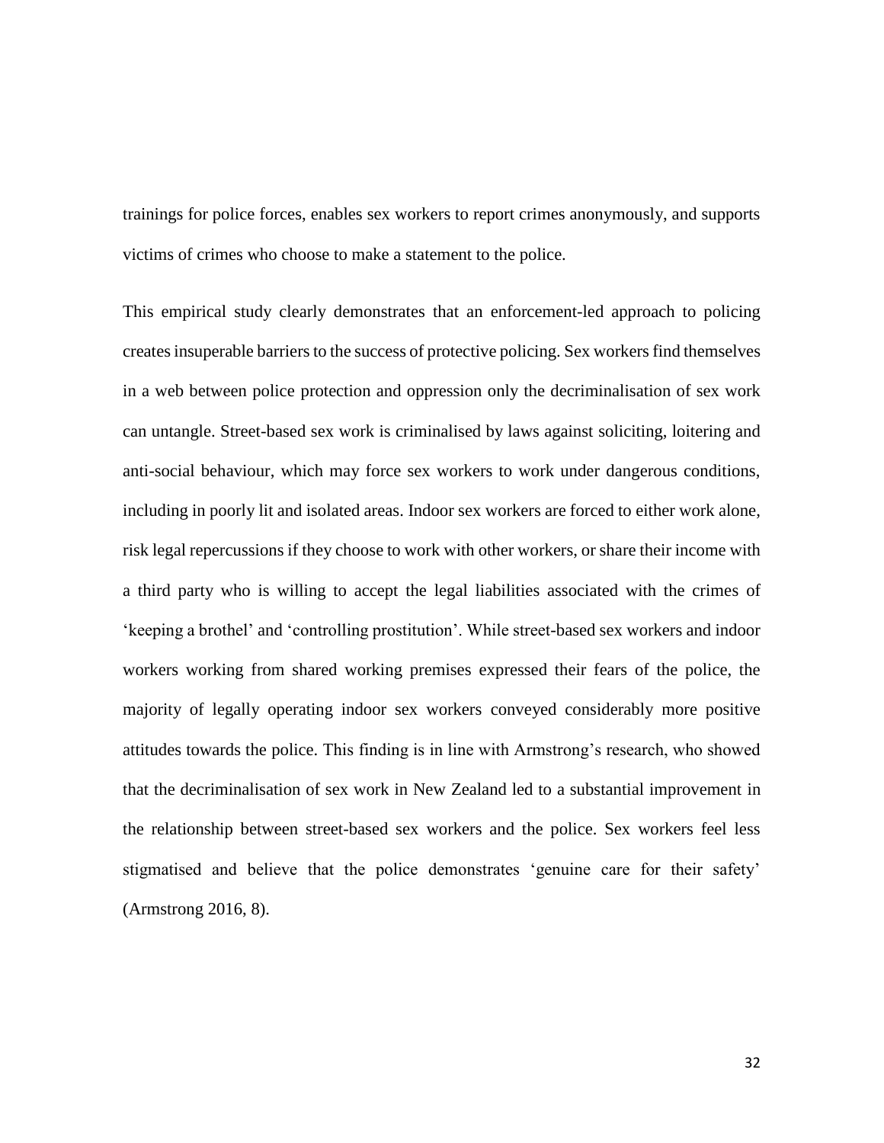trainings for police forces, enables sex workers to report crimes anonymously, and supports victims of crimes who choose to make a statement to the police.

This empirical study clearly demonstrates that an enforcement-led approach to policing creates insuperable barriers to the success of protective policing. Sex workers find themselves in a web between police protection and oppression only the decriminalisation of sex work can untangle. Street-based sex work is criminalised by laws against soliciting, loitering and anti-social behaviour, which may force sex workers to work under dangerous conditions, including in poorly lit and isolated areas. Indoor sex workers are forced to either work alone, risk legal repercussions if they choose to work with other workers, or share their income with a third party who is willing to accept the legal liabilities associated with the crimes of 'keeping a brothel' and 'controlling prostitution'. While street-based sex workers and indoor workers working from shared working premises expressed their fears of the police, the majority of legally operating indoor sex workers conveyed considerably more positive attitudes towards the police. This finding is in line with Armstrong's research, who showed that the decriminalisation of sex work in New Zealand led to a substantial improvement in the relationship between street-based sex workers and the police. Sex workers feel less stigmatised and believe that the police demonstrates 'genuine care for their safety' (Armstrong 2016, 8).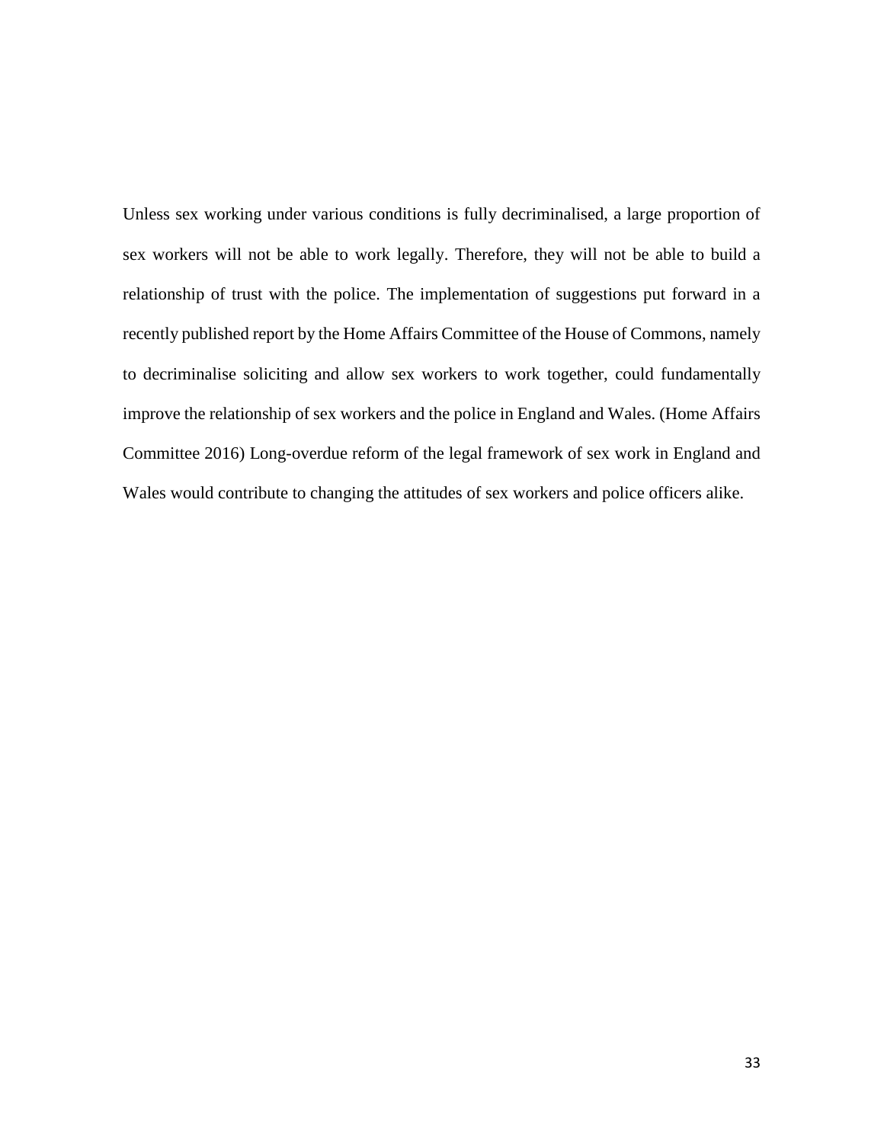Unless sex working under various conditions is fully decriminalised, a large proportion of sex workers will not be able to work legally. Therefore, they will not be able to build a relationship of trust with the police. The implementation of suggestions put forward in a recently published report by the Home Affairs Committee of the House of Commons, namely to decriminalise soliciting and allow sex workers to work together, could fundamentally improve the relationship of sex workers and the police in England and Wales. (Home Affairs Committee 2016) Long-overdue reform of the legal framework of sex work in England and Wales would contribute to changing the attitudes of sex workers and police officers alike.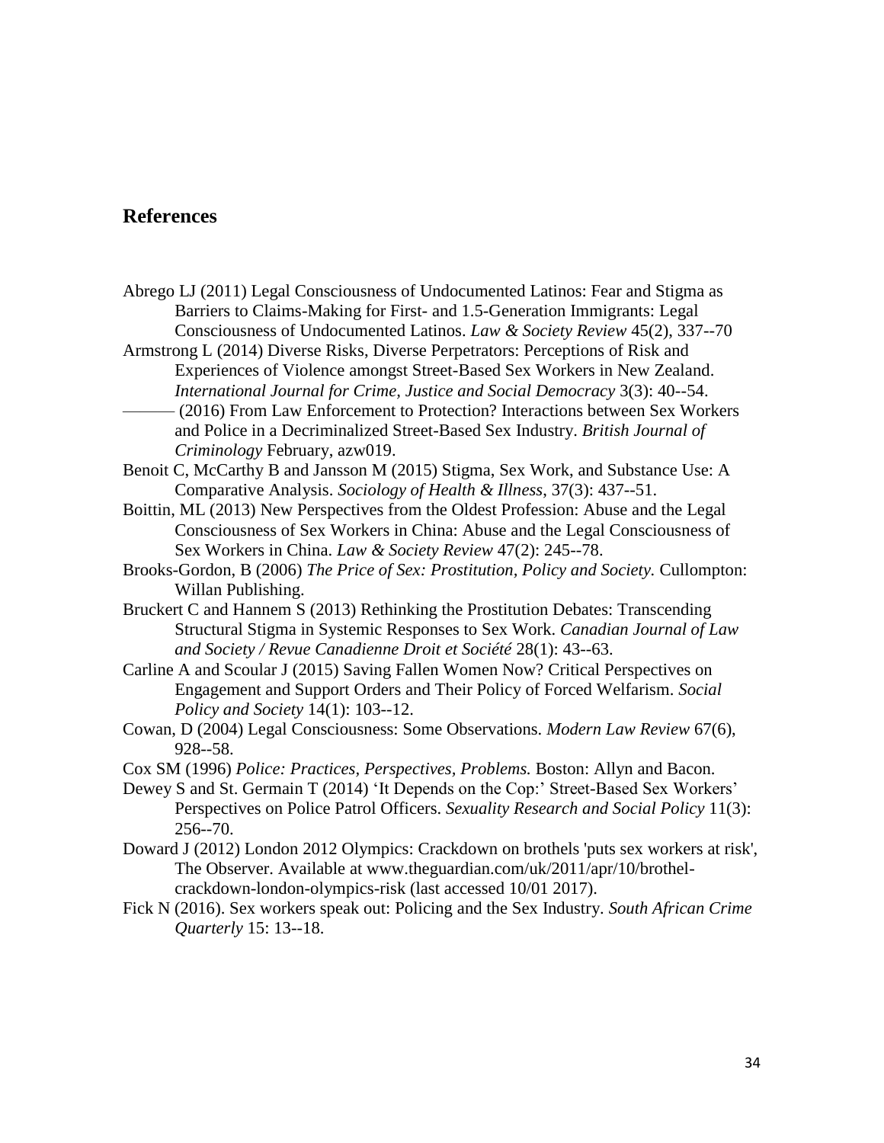# **References**

- Abrego LJ (2011) Legal Consciousness of Undocumented Latinos: Fear and Stigma as Barriers to Claims-Making for First- and 1.5-Generation Immigrants: Legal Consciousness of Undocumented Latinos. *Law & Society Review* 45(2), 337--70
- Armstrong L (2014) Diverse Risks, Diverse Perpetrators: Perceptions of Risk and Experiences of Violence amongst Street-Based Sex Workers in New Zealand. *International Journal for Crime, Justice and Social Democracy* 3(3): 40--54.
- ——— (2016) From Law Enforcement to Protection? Interactions between Sex Workers and Police in a Decriminalized Street-Based Sex Industry. *British Journal of Criminology* February, azw019.
- Benoit C, McCarthy B and Jansson M (2015) Stigma, Sex Work, and Substance Use: A Comparative Analysis. *Sociology of Health & Illness*, 37(3): 437--51.
- Boittin, ML (2013) New Perspectives from the Oldest Profession: Abuse and the Legal Consciousness of Sex Workers in China: Abuse and the Legal Consciousness of Sex Workers in China. *Law & Society Review* 47(2): 245--78.
- Brooks-Gordon, B (2006) *The Price of Sex: Prostitution, Policy and Society.* Cullompton: Willan Publishing.
- Bruckert C and Hannem S (2013) Rethinking the Prostitution Debates: Transcending Structural Stigma in Systemic Responses to Sex Work. *Canadian Journal of Law and Society / Revue Canadienne Droit et Société* 28(1): 43--63.
- Carline A and Scoular J (2015) Saving Fallen Women Now? Critical Perspectives on Engagement and Support Orders and Their Policy of Forced Welfarism. *Social Policy and Society* 14(1): 103--12.
- Cowan, D (2004) Legal Consciousness: Some Observations. *Modern Law Review* 67(6), 928--58.
- Cox SM (1996) *Police: Practices, Perspectives, Problems.* Boston: Allyn and Bacon.
- Dewey S and St. Germain T (2014) 'It Depends on the Cop:' Street-Based Sex Workers' Perspectives on Police Patrol Officers. *Sexuality Research and Social Policy* 11(3): 256--70.
- Doward J (2012) London 2012 Olympics: Crackdown on brothels 'puts sex workers at risk', The Observer. Available at [www.theguardian.com/uk/2011/apr/10/brothel](https://www.theguardian.com/uk/2011/apr/10/brothel-crackdown-london-olympics-risk)[crackdown-london-olympics-risk](https://www.theguardian.com/uk/2011/apr/10/brothel-crackdown-london-olympics-risk) (last accessed 10/01 2017).
- Fick N (2016). Sex workers speak out: Policing and the Sex Industry. *South African Crime Quarterly* 15: 13--18.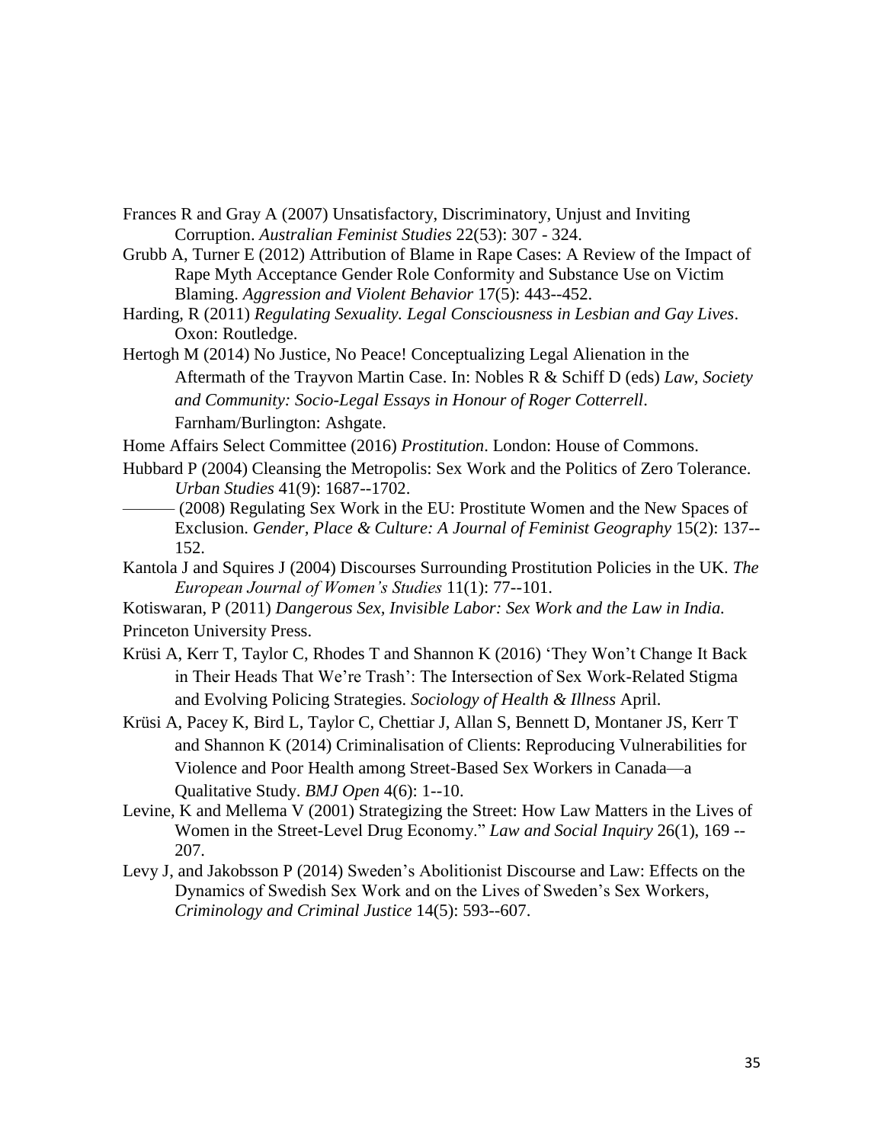Frances R and Gray A (2007) Unsatisfactory, Discriminatory, Unjust and Inviting Corruption. *Australian Feminist Studies* 22(53): 307 - 324.

Grubb A, Turner E (2012) Attribution of Blame in Rape Cases: A Review of the Impact of Rape Myth Acceptance Gender Role Conformity and Substance Use on Victim Blaming. *Aggression and Violent Behavior* 17(5): 443--452.

Harding, R (2011) *Regulating Sexuality. Legal Consciousness in Lesbian and Gay Lives*. Oxon: Routledge.

Hertogh M (2014) No Justice, No Peace! Conceptualizing Legal Alienation in the Aftermath of the Trayvon Martin Case. In: Nobles R & Schiff D (eds) *Law, Society and Community: Socio-Legal Essays in Honour of Roger Cotterrell*. Farnham/Burlington: Ashgate.

Home Affairs Select Committee (2016) *Prostitution*. London: House of Commons.

Hubbard P (2004) Cleansing the Metropolis: Sex Work and the Politics of Zero Tolerance. *Urban Studies* 41(9): 1687--1702.

- (2008) Regulating Sex Work in the EU: Prostitute Women and the New Spaces of Exclusion. *Gender, Place & Culture: A Journal of Feminist Geography* 15(2): 137-- 152.
- Kantola J and Squires J (2004) Discourses Surrounding Prostitution Policies in the UK. *The European Journal of Women's Studies* 11(1): 77--101.

Kotiswaran, P (2011) *Dangerous Sex, Invisible Labor: Sex Work and the Law in India.*  Princeton University Press.

Krüsi A, Kerr T, Taylor C, Rhodes T and Shannon K (2016) 'They Won't Change It Back in Their Heads That We're Trash': The Intersection of Sex Work-Related Stigma and Evolving Policing Strategies. *Sociology of Health & Illness* April.

Krüsi A, Pacey K, Bird L, Taylor C, Chettiar J, Allan S, Bennett D, Montaner JS, Kerr T and Shannon K (2014) Criminalisation of Clients: Reproducing Vulnerabilities for Violence and Poor Health among Street-Based Sex Workers in Canada—a Qualitative Study. *BMJ Open* 4(6): 1--10.

- Levine, K and Mellema V (2001) Strategizing the Street: How Law Matters in the Lives of Women in the Street-Level Drug Economy." *Law and Social Inquiry* 26(1), 169 -- 207.
- Levy J, and Jakobsson P (2014) Sweden's Abolitionist Discourse and Law: Effects on the Dynamics of Swedish Sex Work and on the Lives of Sweden's Sex Workers, *Criminology and Criminal Justice* 14(5): 593--607.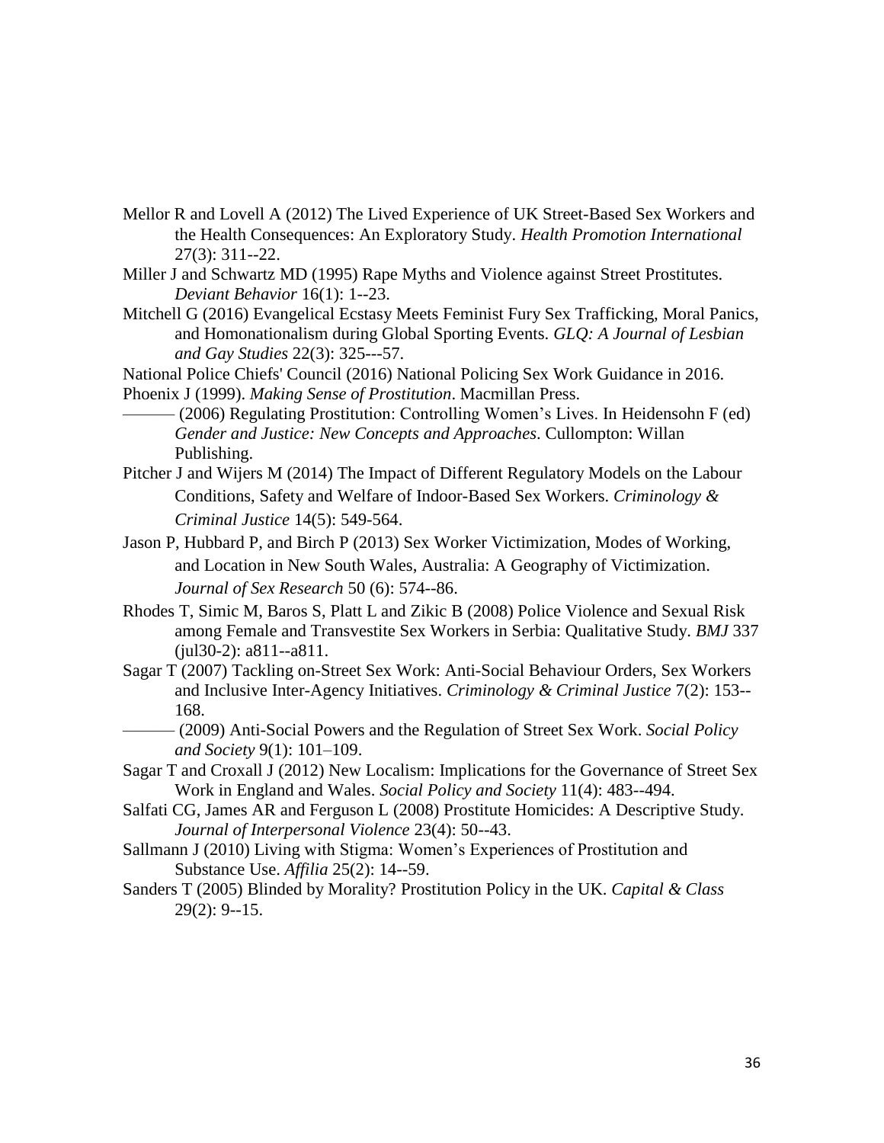- Mellor R and Lovell A (2012) The Lived Experience of UK Street-Based Sex Workers and the Health Consequences: An Exploratory Study. *Health Promotion International* 27(3): 311--22.
- Miller J and Schwartz MD (1995) Rape Myths and Violence against Street Prostitutes. *Deviant Behavior* 16(1): 1--23.
- Mitchell G (2016) Evangelical Ecstasy Meets Feminist Fury Sex Trafficking, Moral Panics, and Homonationalism during Global Sporting Events. *GLQ: A Journal of Lesbian and Gay Studies* 22(3): 325---57.

[National Police Chiefs' Council](http://news.npcc.police.uk/) (2016) National Policing Sex Work Guidance in 2016. Phoenix J (1999). *Making Sense of Prostitution*. Macmillan Press.

- $-$  (2006) Regulating Prostitution: Controlling Women's Lives. In Heidensohn F (ed) *Gender and Justice: New Concepts and Approaches*. Cullompton: Willan Publishing.
- Pitcher J and Wijers M (2014) The Impact of Different Regulatory Models on the Labour Conditions, Safety and Welfare of Indoor-Based Sex Workers. *Criminology & Criminal Justice* 14(5): 549-564.
- Jason P, Hubbard P, and Birch P (2013) Sex Worker Victimization, Modes of Working, and Location in New South Wales, Australia: A Geography of Victimization. *Journal of Sex Research* 50 (6): 574--86.
- Rhodes T, Simic M, Baros S, Platt L and Zikic B (2008) Police Violence and Sexual Risk among Female and Transvestite Sex Workers in Serbia: Qualitative Study. *BMJ* 337 (jul30-2): a811--a811.
- Sagar T (2007) Tackling on-Street Sex Work: Anti-Social Behaviour Orders, Sex Workers and Inclusive Inter-Agency Initiatives. *Criminology & Criminal Justice* 7(2): 153-- 168.
- ——— (2009) Anti-Social Powers and the Regulation of Street Sex Work. *Social Policy and Society* 9(1): 101–109.
- Sagar T and Croxall J (2012) New Localism: Implications for the Governance of Street Sex Work in England and Wales. *Social Policy and Society* 11(4): 483--494.
- Salfati CG, James AR and Ferguson L (2008) Prostitute Homicides: A Descriptive Study. *Journal of Interpersonal Violence* 23(4): 50--43.
- Sallmann J (2010) Living with Stigma: Women's Experiences of Prostitution and Substance Use. *Affilia* 25(2): 14--59.
- Sanders T (2005) Blinded by Morality? Prostitution Policy in the UK. *Capital & Class* 29(2): 9--15.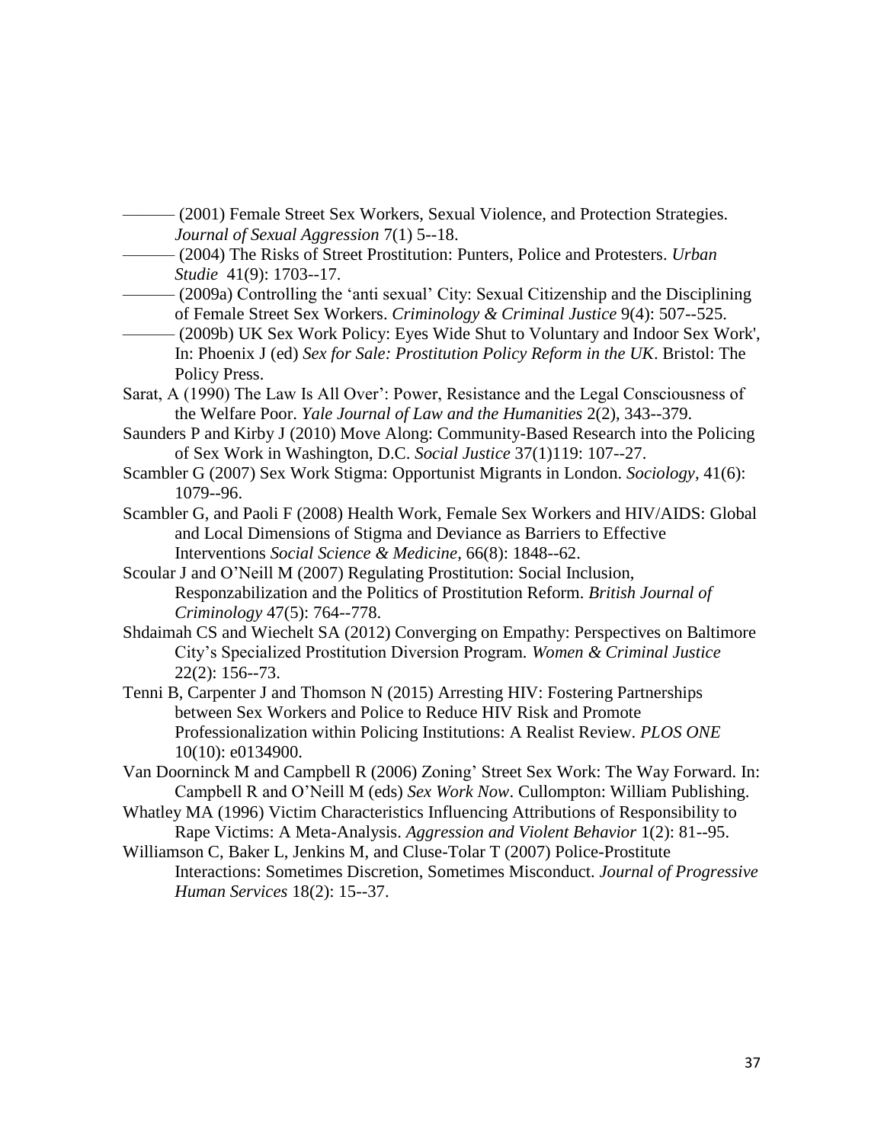- (2001) Female Street Sex Workers, Sexual Violence, and Protection Strategies. *Journal of Sexual Aggression* 7(1) 5--18.
- ——— (2004) The Risks of Street Prostitution: Punters, Police and Protesters. *Urban Studie* 41(9): 1703--17.
- (2009a) Controlling the 'anti sexual' City: Sexual Citizenship and the Disciplining of Female Street Sex Workers. *Criminology & Criminal Justice* 9(4): 507--525.
- ——— (2009b) UK Sex Work Policy: Eyes Wide Shut to Voluntary and Indoor Sex Work', In: Phoenix J (ed) *Sex for Sale: Prostitution Policy Reform in the UK*. Bristol: The Policy Press.
- Sarat, A (1990) The Law Is All Over': Power, Resistance and the Legal Consciousness of the Welfare Poor. *Yale Journal of Law and the Humanities* 2(2), 343--379.
- Saunders P and Kirby J (2010) Move Along: Community-Based Research into the Policing of Sex Work in Washington, D.C. *Social Justice* 37(1)119: 107--27.
- Scambler G (2007) Sex Work Stigma: Opportunist Migrants in London. *Sociology,* 41(6): 1079--96.
- Scambler G, and Paoli F (2008) Health Work, Female Sex Workers and HIV/AIDS: Global and Local Dimensions of Stigma and Deviance as Barriers to Effective Interventions *Social Science & Medicine,* 66(8): 1848--62.
- Scoular J and O'Neill M (2007) Regulating Prostitution: Social Inclusion, Responzabilization and the Politics of Prostitution Reform. *British Journal of Criminology* 47(5): 764--778.
- Shdaimah CS and Wiechelt SA (2012) Converging on Empathy: Perspectives on Baltimore City's Specialized Prostitution Diversion Program*. Women & Criminal Justice*  22(2): 156--73.
- Tenni B, Carpenter J and Thomson N (2015) Arresting HIV: Fostering Partnerships between Sex Workers and Police to Reduce HIV Risk and Promote Professionalization within Policing Institutions: A Realist Review. *PLOS ONE* 10(10): e0134900.
- Van Doorninck M and Campbell R (2006) Zoning' Street Sex Work: The Way Forward. In: Campbell R and O'Neill M (eds) *Sex Work Now*. Cullompton: William Publishing.
- Whatley MA (1996) Victim Characteristics Influencing Attributions of Responsibility to Rape Victims: A Meta-Analysis. *Aggression and Violent Behavior* 1(2): 81--95.
- Williamson C, Baker L, Jenkins M, and Cluse-Tolar T (2007) Police-Prostitute Interactions: Sometimes Discretion, Sometimes Misconduct. *Journal of Progressive Human Services* 18(2): 15--37.